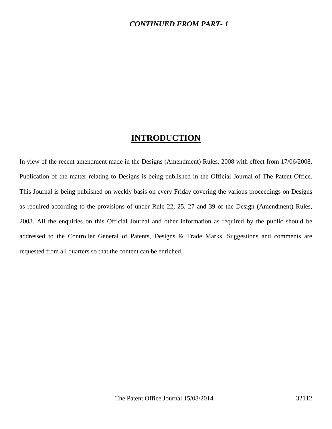### *CONTINUED FROM PART- 1*

## **INTRODUCTION**

In view of the recent amendment made in the Designs (Amendment) Rules, 2008 with effect from 17/06/2008, Publication of the matter relating to Designs is being published in the Official Journal of The Patent Office. This Journal is being published on weekly basis on every Friday covering the various proceedings on Designs as required according to the provisions of under Rule 22, 25, 27 and 39 of the Design (Amendment) Rules, 2008. All the enquiries on this Official Journal and other information as required by the public should be addressed to the Controller General of Patents, Designs & Trade Marks. Suggestions and comments are requested from all quarters so that the content can be enriched.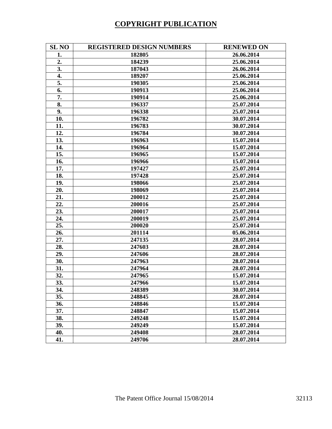# **COPYRIGHT PUBLICATION**

| <b>SL NO</b> | <b>REGISTERED DESIGN NUMBERS</b> | <b>RENEWED ON</b> |
|--------------|----------------------------------|-------------------|
| 1.           | 182805                           | 26.06.2014        |
| 2.           | 184239                           | 25.06.2014        |
| 3.           | 187043                           | 26.06.2014        |
| 4.           | 189207                           | 25.06.2014        |
| 5.           | 190305                           | 25.06.2014        |
| 6.           | 190913                           | 25.06.2014        |
| 7.           | 190914                           | 25.06.2014        |
| 8.           | 196337                           | 25.07.2014        |
| 9.           | 196338                           | 25.07.2014        |
| 10.          | 196782                           | 30.07.2014        |
| 11.          | 196783                           | 30.07.2014        |
| 12.          | 196784                           | 30.07.2014        |
| 13.          | 196963                           | 15.07.2014        |
| 14.          | 196964                           | 15.07.2014        |
| 15.          | 196965                           | 15.07.2014        |
| 16.          | 196966                           | 15.07.2014        |
| 17.          | 197427                           | 25.07.2014        |
| 18.          | 197428                           | 25.07.2014        |
| 19.          | 198066                           | 25.07.2014        |
| 20.          | 198069                           | 25.07.2014        |
| 21.          | 200012                           | 25.07.2014        |
| 22.          | 200016                           | 25.07.2014        |
| 23.          | 200017                           | 25.07.2014        |
| 24.          | 200019                           | 25.07.2014        |
| 25.          | 200020                           | 25.07.2014        |
| 26.          | 201114                           | 05.06.2014        |
| 27.          | 247135                           | 28.07.2014        |
| 28.          | 247603                           | 28.07.2014        |
| 29.          | 247606                           | 28.07.2014        |
| 30.          | 247963                           | 28.07.2014        |
| 31.          | 247964                           | 28.07.2014        |
| 32.          | 247965                           | 15.07.2014        |
| 33.          | 247966                           | 15.07.2014        |
| 34.          | 248389                           | 30.07.2014        |
| 35.          | 248845                           | 28.07.2014        |
| 36.          | 248846                           | 15.07.2014        |
| 37.          | 248847                           | 15.07.2014        |
| 38.          | 249248                           | 15.07.2014        |
| 39.          | 249249                           | 15.07.2014        |
| 40.          | 249408                           | 28.07.2014        |
| 41.          | 249706                           | 28.07.2014        |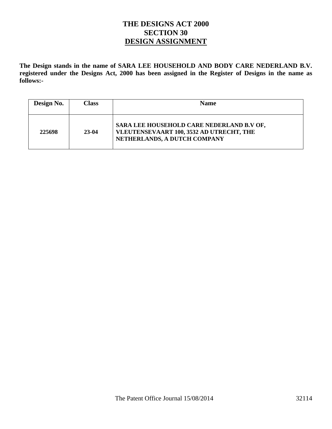## **THE DESIGNS ACT 2000 SECTION 30 DESIGN ASSIGNMENT**

**The Design stands in the name of SARA LEE HOUSEHOLD AND BODY CARE NEDERLAND B.V. registered under the Designs Act, 2000 has been assigned in the Register of Designs in the name as follows:-** 

| Design No. | <b>Class</b> | <b>Name</b>                                                                                                           |
|------------|--------------|-----------------------------------------------------------------------------------------------------------------------|
| 225698     | $23-04$      | SARA LEE HOUSEHOLD CARE NEDERLAND B.V OF,<br>VLEUTENSEVAART 100, 3532 AD UTRECHT, THE<br>NETHERLANDS, A DUTCH COMPANY |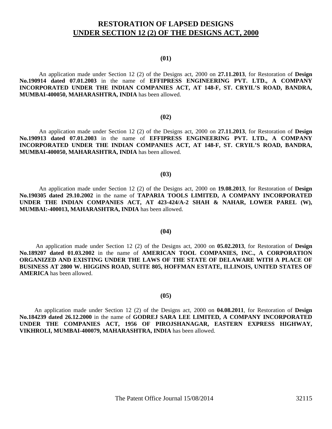## **RESTORATION OF LAPSED DESIGNS UNDER SECTION 12 (2) OF THE DESIGNS ACT, 2000**

#### **(01)**

 An application made under Section 12 (2) of the Designs act, 2000 on **27.11.2013**, for Restoration of **Design No.190914 dated 07.01.2003** in the name of **EFFIPRESS ENGINEERING PVT. LTD., A COMPANY INCORPORATED UNDER THE INDIAN COMPANIES ACT, AT 148-F, ST. CRYIL'S ROAD, BANDRA, MUMBAI-400050, MAHARASHTRA, INDIA** has been allowed.

#### **(02)**

 An application made under Section 12 (2) of the Designs act, 2000 on **27.11.2013**, for Restoration of **Design No.190913 dated 07.01.2003** in the name of **EFFIPRESS ENGINEERING PVT. LTD., A COMPANY INCORPORATED UNDER THE INDIAN COMPANIES ACT, AT 148-F, ST. CRYIL'S ROAD, BANDRA, MUMBAI-400050, MAHARASHTRA, INDIA** has been allowed.

#### **(03)**

An application made under Section 12 (2) of the Designs act, 2000 on **19.08.2013**, for Restoration of **Design No.190305 dated 29.10.2002** in the name of **TAPARIA TOOLS LIMITED, A COMPANY INCORPORATED UNDER THE INDIAN COMPANIES ACT, AT 423-424/A-2 SHAH & NAHAR, LOWER PAREL (W), MUMBAI:-400013, MAHARASHTRA, INDIA** has been allowed.

#### **(04)**

 An application made under Section 12 (2) of the Designs act, 2000 on **05.02.2013**, for Restoration of **Design No.189207 dated 01.03.2002** in the name of **AMERICAN TOOL COMPANIES, INC., A CORPORATION ORGANIZED AND EXISTING UNDER THE LAWS OF THE STATE OF DELAWARE WITH A PLACE OF BUSINESS AT 2800 W. HIGGINS ROAD, SUITE 805, HOFFMAN ESTATE, ILLINOIS, UNITED STATES OF AMERICA** has been allowed.

#### **(05)**

 An application made under Section 12 (2) of the Designs act, 2000 on **04.08.2011**, for Restoration of **Design No.184239 dated 26.12.2000** in the name of **GODREJ SARA LEE LIMITED, A COMPANY INCORPORATED UNDER THE COMPANIES ACT, 1956 OF PIROJSHANAGAR, EASTERN EXPRESS HIGHWAY, VIKHROLI, MUMBAI-400079, MAHARASHTRA, INDIA** has been allowed.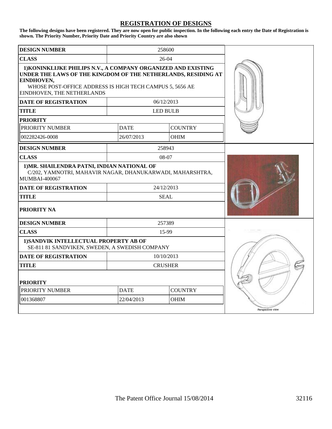#### **REGISTRATION OF DESIGNS**

**The following designs have been registered. They are now open for public inspection. In the following each entry the Date of Registration is shown. The Priority Number, Priority Date and Priority Country are also shown**

| <b>DESIGN NUMBER</b>                                                                                                                                                                                                                   |                           |                 |                  |  |
|----------------------------------------------------------------------------------------------------------------------------------------------------------------------------------------------------------------------------------------|---------------------------|-----------------|------------------|--|
| <b>CLASS</b>                                                                                                                                                                                                                           |                           |                 |                  |  |
| 1) KONINKLIJKE PHILIPS N.V., A COMPANY ORGANIZED AND EXISTING<br>UNDER THE LAWS OF THE KINGDOM OF THE NETHERLANDS, RESIDING AT<br>EINDHOVEN,<br>WHOSE POST-OFFICE ADDRESS IS HIGH TECH CAMPUS 5, 5656 AE<br>EINDHOVEN, THE NETHERLANDS |                           |                 |                  |  |
| <b>DATE OF REGISTRATION</b>                                                                                                                                                                                                            |                           | 06/12/2013      |                  |  |
| <b>TITLE</b>                                                                                                                                                                                                                           |                           | <b>LED BULB</b> |                  |  |
| <b>PRIORITY</b>                                                                                                                                                                                                                        |                           |                 |                  |  |
| PRIORITY NUMBER                                                                                                                                                                                                                        | <b>DATE</b>               | <b>COUNTRY</b>  |                  |  |
| 002282426-0008                                                                                                                                                                                                                         | 26/07/2013                | <b>OHIM</b>     |                  |  |
| <b>DESIGN NUMBER</b>                                                                                                                                                                                                                   |                           | 258943          |                  |  |
| <b>CLASS</b>                                                                                                                                                                                                                           |                           | 08-07           |                  |  |
| 1) MR. SHAILENDRA PATNI, INDIAN NATIONAL OF<br>C/202, YAMNOTRI, MAHAVIR NAGAR, DHANUKARWADI, MAHARSHTRA,<br><b>MUMBAI-400067</b>                                                                                                       |                           |                 |                  |  |
| <b>DATE OF REGISTRATION</b>                                                                                                                                                                                                            |                           | 24/12/2013      |                  |  |
| <b>TITLE</b>                                                                                                                                                                                                                           |                           | <b>SEAL</b>     |                  |  |
| <b>PRIORITY NA</b>                                                                                                                                                                                                                     |                           |                 |                  |  |
| <b>DESIGN NUMBER</b>                                                                                                                                                                                                                   |                           | 257389          |                  |  |
| <b>CLASS</b>                                                                                                                                                                                                                           |                           | 15-99           |                  |  |
| 1) SANDVIK INTELLECTUAL PROPERTY AB OF<br>SE-811 81 SANDVIKEN, SWEDEN, A SWEDISH COMPANY                                                                                                                                               |                           |                 |                  |  |
| <b>DATE OF REGISTRATION</b>                                                                                                                                                                                                            | 10/10/2013                |                 |                  |  |
| <b>TITLE</b>                                                                                                                                                                                                                           |                           | <b>CRUSHER</b>  |                  |  |
| <b>PRIORITY</b>                                                                                                                                                                                                                        |                           |                 |                  |  |
| PRIORITY NUMBER                                                                                                                                                                                                                        | <b>DATE</b>               | <b>COUNTRY</b>  |                  |  |
| 001368807                                                                                                                                                                                                                              | 22/04/2013<br><b>OHIM</b> |                 |                  |  |
|                                                                                                                                                                                                                                        |                           |                 | Perspective view |  |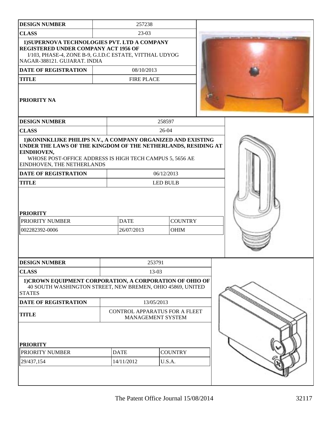| <b>DESIGN NUMBER</b>                                                                                                                                                                                                                   |  | 257238                    |            |                               |  |
|----------------------------------------------------------------------------------------------------------------------------------------------------------------------------------------------------------------------------------------|--|---------------------------|------------|-------------------------------|--|
| <b>CLASS</b>                                                                                                                                                                                                                           |  | 23-03                     |            |                               |  |
| 1) SUPERNOVA TECHNOLOGIES PVT. LTD A COMPANY<br><b>REGISTERED UNDER COMPANY ACT 1956 OF</b><br>I/103, PHASE-4, ZONE B-9, G.I.D.C ESTATE, VITTHAL UDYOG<br>NAGAR-388121. GUJARAT. INDIA                                                 |  |                           |            |                               |  |
| <b>DATE OF REGISTRATION</b>                                                                                                                                                                                                            |  | 08/10/2013                |            |                               |  |
| <b>TITLE</b>                                                                                                                                                                                                                           |  | <b>FIRE PLACE</b>         |            |                               |  |
| <b>PRIORITY NA</b>                                                                                                                                                                                                                     |  |                           |            |                               |  |
| <b>DESIGN NUMBER</b>                                                                                                                                                                                                                   |  |                           | 258597     |                               |  |
| <b>CLASS</b>                                                                                                                                                                                                                           |  |                           | $26-04$    |                               |  |
| 1) KONINKLIJKE PHILIPS N.V., A COMPANY ORGANIZED AND EXISTING<br>UNDER THE LAWS OF THE KINGDOM OF THE NETHERLANDS, RESIDING AT<br>EINDHOVEN,<br>WHOSE POST-OFFICE ADDRESS IS HIGH TECH CAMPUS 5, 5656 AE<br>EINDHOVEN, THE NETHERLANDS |  |                           |            |                               |  |
| <b>DATE OF REGISTRATION</b>                                                                                                                                                                                                            |  |                           | 06/12/2013 |                               |  |
| <b>TITLE</b>                                                                                                                                                                                                                           |  | <b>LED BULB</b>           |            |                               |  |
| <b>PRIORITY</b><br>PRIORITY NUMBER<br>002282392-0006                                                                                                                                                                                   |  | <b>DATE</b><br>26/07/2013 |            | <b>COUNTRY</b><br><b>OHIM</b> |  |
| <b>DESIGN NUMBER</b>                                                                                                                                                                                                                   |  |                           | 253791     |                               |  |
| <b>CLASS</b>                                                                                                                                                                                                                           |  |                           | 13-03      |                               |  |
| 1)CROWN EQUIPMENT CORPORATION, A CORPORATION OF OHIO OF<br>40 SOUTH WASHINGTON STREET, NEW BREMEN, OHIO 45869, UNITED<br><b>STATES</b>                                                                                                 |  |                           |            |                               |  |
| <b>DATE OF REGISTRATION</b>                                                                                                                                                                                                            |  |                           | 13/05/2013 |                               |  |
| <b>CONTROL APPARATUS FOR A FLEET</b><br><b>TITLE</b><br>MANAGEMENT SYSTEM                                                                                                                                                              |  |                           |            |                               |  |
| <b>PRIORITY</b>                                                                                                                                                                                                                        |  |                           |            |                               |  |
| PRIORITY NUMBER                                                                                                                                                                                                                        |  | <b>DATE</b>               |            | <b>COUNTRY</b>                |  |
| 29/437,154                                                                                                                                                                                                                             |  | 14/11/2012                | U.S.A.     |                               |  |
|                                                                                                                                                                                                                                        |  |                           |            |                               |  |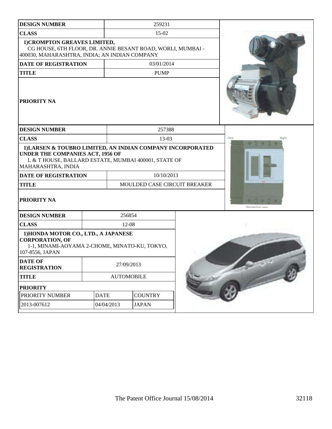| <b>DESIGN NUMBER</b>                                                                                                                                                         | 259231     |                              |                |  |                  |
|------------------------------------------------------------------------------------------------------------------------------------------------------------------------------|------------|------------------------------|----------------|--|------------------|
| <b>CLASS</b>                                                                                                                                                                 | $15-02$    |                              |                |  |                  |
| 1) CROMPTON GREAVES LIMITED,<br>CG HOUSE, 6TH FLOOR, DR. ANNIE BESANT ROAD, WORLI, MUMBAI -<br>400030, MAHARASHTRA, INDIA; AN INDIAN COMPANY                                 |            |                              |                |  |                  |
| <b>DATE OF REGISTRATION</b>                                                                                                                                                  |            |                              | 03/01/2014     |  |                  |
| <b>TITLE</b>                                                                                                                                                                 |            |                              | <b>PUMP</b>    |  |                  |
| <b>PRIORITY NA</b>                                                                                                                                                           |            |                              |                |  |                  |
| <b>DESIGN NUMBER</b>                                                                                                                                                         |            |                              | 257388         |  |                  |
| <b>CLASS</b>                                                                                                                                                                 |            |                              | 13-03          |  | Wido<br>Right    |
| 1) LARSEN & TOUBRO LIMITED, AN INDIAN COMPANY INCORPORATED<br>UNDER THE COMPANIES ACT, 1956 OF<br>L & T HOUSE, BALLARD ESTATE, MUMBAI 400001, STATE OF<br>MAHARASHTRA, INDIA |            |                              |                |  |                  |
| <b>DATE OF REGISTRATION</b>                                                                                                                                                  |            | 10/10/2013                   |                |  |                  |
| <b>TITLE</b>                                                                                                                                                                 |            | MOULDED CASE CIRCUIT BREAKER |                |  |                  |
| PRIORITY NA                                                                                                                                                                  |            |                              |                |  | Percoertive view |
| <b>DESIGN NUMBER</b>                                                                                                                                                         |            |                              | 256854         |  |                  |
| <b>CLASS</b>                                                                                                                                                                 |            |                              | $12-08$        |  |                  |
| 1) HONDA MOTOR CO., LTD., A JAPANESE<br><b>CORPORATION, OF</b><br>1-1, MINAMI-AOYAMA 2-CHOME, MINATO-KU, TOKYO,<br>107-8556, JAPAN                                           |            |                              |                |  |                  |
| <b>DATE OF</b><br><b>REGISTRATION</b>                                                                                                                                        | 27/09/2013 |                              |                |  |                  |
| <b>TITLE</b>                                                                                                                                                                 |            | <b>AUTOMOBILE</b>            |                |  |                  |
| <b>PRIORITY</b>                                                                                                                                                              |            |                              |                |  |                  |
| <b>DATE</b><br>PRIORITY NUMBER                                                                                                                                               |            |                              | <b>COUNTRY</b> |  |                  |
| 2013-007612                                                                                                                                                                  | 04/04/2013 | <b>JAPAN</b>                 |                |  |                  |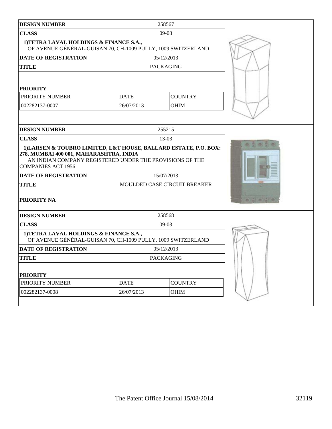| <b>DESIGN NUMBER</b>                                                                                                                                                                                 |                               | 258567                       |        |
|------------------------------------------------------------------------------------------------------------------------------------------------------------------------------------------------------|-------------------------------|------------------------------|--------|
| <b>CLASS</b>                                                                                                                                                                                         |                               | $09-03$                      |        |
| 1) TETRA LAVAL HOLDINGS & FINANCE S.A.,<br>OF AVENUE GÉNÉRAL-GUISAN 70, CH-1009 PULLY, 1009 SWITZERLAND                                                                                              |                               |                              |        |
| <b>DATE OF REGISTRATION</b>                                                                                                                                                                          |                               | 05/12/2013                   |        |
| <b>TITLE</b>                                                                                                                                                                                         |                               | <b>PACKAGING</b>             |        |
| <b>PRIORITY</b><br>PRIORITY NUMBER<br>002282137-0007                                                                                                                                                 |                               |                              |        |
| <b>DESIGN NUMBER</b>                                                                                                                                                                                 |                               | 255215                       |        |
| <b>CLASS</b>                                                                                                                                                                                         |                               | 13-03                        |        |
| 1) LARSEN & TOUBRO LIMITED, L&T HOUSE, BALLARD ESTATE, P.O. BOX:<br>278, MUMBAI 400 001, MAHARASHTRA, INDIA<br>AN INDIAN COMPANY REGISTERED UNDER THE PROVISIONS OF THE<br><b>COMPANIES ACT 1956</b> |                               |                              |        |
| <b>DATE OF REGISTRATION</b>                                                                                                                                                                          |                               | 15/07/2013                   |        |
| <b>TITLE</b>                                                                                                                                                                                         |                               | MOULDED CASE CIRCUIT BREAKER |        |
| <b>PRIORITY NA</b>                                                                                                                                                                                   |                               |                              | $-103$ |
| <b>DESIGN NUMBER</b>                                                                                                                                                                                 |                               | 258568                       |        |
| <b>CLASS</b>                                                                                                                                                                                         |                               | $09-03$                      |        |
| 1) TETRA LAVAL HOLDINGS & FINANCE S.A.,<br>OF AVENUE GÉNÉRAL-GUISAN 70, CH-1009 PULLY, 1009 SWITZERLAND                                                                                              |                               |                              |        |
| <b>DATE OF REGISTRATION</b>                                                                                                                                                                          |                               | 05/12/2013                   |        |
| <b>TITLE</b>                                                                                                                                                                                         |                               | <b>PACKAGING</b>             |        |
| <b>PRIORITY</b>                                                                                                                                                                                      |                               |                              |        |
| PRIORITY NUMBER                                                                                                                                                                                      | <b>COUNTRY</b><br><b>DATE</b> |                              |        |
| 002282137-0008                                                                                                                                                                                       | 26/07/2013                    | <b>OHIM</b>                  |        |
|                                                                                                                                                                                                      |                               |                              |        |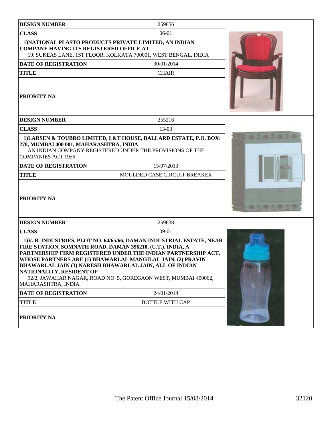| <b>DESIGN NUMBER</b>                                                                                         | 259856                                                                                                                                                                                                                                                                                                                                   |  |  |  |
|--------------------------------------------------------------------------------------------------------------|------------------------------------------------------------------------------------------------------------------------------------------------------------------------------------------------------------------------------------------------------------------------------------------------------------------------------------------|--|--|--|
| <b>CLASS</b>                                                                                                 | $06-01$                                                                                                                                                                                                                                                                                                                                  |  |  |  |
| <b>COMPANY HAVING ITS REGISTERED OFFICE AT</b>                                                               | 1) NATIONAL PLASTO PRODUCTS PRIVATE LIMITED, AN INDIAN<br>19, SUKEAS LANE, 1ST FLOOR, KOLKATA 700001, WEST BENGAL, INDIA                                                                                                                                                                                                                 |  |  |  |
| <b>DATE OF REGISTRATION</b>                                                                                  |                                                                                                                                                                                                                                                                                                                                          |  |  |  |
| <b>TITLE</b>                                                                                                 | <b>CHAIR</b>                                                                                                                                                                                                                                                                                                                             |  |  |  |
| <b>PRIORITY NA</b>                                                                                           |                                                                                                                                                                                                                                                                                                                                          |  |  |  |
| <b>DESIGN NUMBER</b>                                                                                         | 255216                                                                                                                                                                                                                                                                                                                                   |  |  |  |
| <b>CLASS</b>                                                                                                 | 13-03                                                                                                                                                                                                                                                                                                                                    |  |  |  |
| 278, MUMBAI 400 001, MAHARASHTRA, INDIA<br><b>COMPANIES ACT 1956</b>                                         | 1) LARSEN & TOUBRO LIMITED, L&T HOUSE, BALLARD ESTATE, P.O. BOX:<br>AN INDIAN COMPANY REGISTERED UNDER THE PROVISIONS OF THE                                                                                                                                                                                                             |  |  |  |
| <b>DATE OF REGISTRATION</b>                                                                                  | 15/07/2013                                                                                                                                                                                                                                                                                                                               |  |  |  |
| <b>TITLE</b>                                                                                                 |                                                                                                                                                                                                                                                                                                                                          |  |  |  |
| PRIORITY NA                                                                                                  |                                                                                                                                                                                                                                                                                                                                          |  |  |  |
| <b>DESIGN NUMBER</b>                                                                                         | 259638                                                                                                                                                                                                                                                                                                                                   |  |  |  |
| <b>CLASS</b>                                                                                                 | $09-01$                                                                                                                                                                                                                                                                                                                                  |  |  |  |
| FIRE STATION, SOMNATH ROAD, DAMAN 396210, (U.T.), INDIA, A<br>NATIONALITY, RESIDENT OF<br>MAHARASHTRA, INDIA | 1) V. B. INDUSTRIES, PLOT NO. 64/65/66, DAMAN INDUSTRIAL ESTATE, NEAR<br>PARTNERSHIP FIRM REGISTERED UNDER THE INDIAN PARTNERSHIP ACT,<br>WHOSE PARTNERS ARE (1) BHAWARLAL MANGILAL JAIN, (2) PRAVIN<br><b>BHAWARLAL JAIN (3) NARESH BHAWARLAL JAIN, ALL OF INDIAN</b><br>92/2, JAWAHAR NAGAR, ROAD NO. 5, GOREGAON WEST, MUMBAI 400062, |  |  |  |
| <b>DATE OF REGISTRATION</b>                                                                                  | 24/01/2014                                                                                                                                                                                                                                                                                                                               |  |  |  |
| <b>TITLE</b>                                                                                                 | <b>BOTTLE WITH CAP</b>                                                                                                                                                                                                                                                                                                                   |  |  |  |
| PRIORITY NA                                                                                                  |                                                                                                                                                                                                                                                                                                                                          |  |  |  |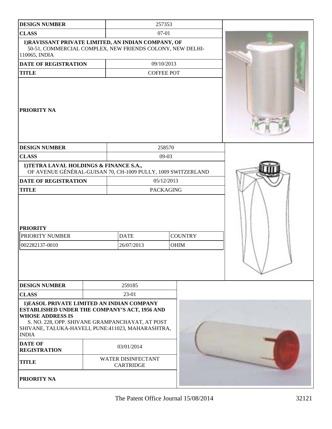| <b>DESIGN NUMBER</b>                                                                                                                                                                                                                                  |         |                                               | 257353            |                               |  |
|-------------------------------------------------------------------------------------------------------------------------------------------------------------------------------------------------------------------------------------------------------|---------|-----------------------------------------------|-------------------|-------------------------------|--|
| <b>CLASS</b>                                                                                                                                                                                                                                          | $07-01$ |                                               |                   |                               |  |
| 1) RAVISSANT PRIVATE LIMITED, AN INDIAN COMPANY, OF<br>50-51, COMMERCIAL COMPLEX, NEW FRIENDS COLONY, NEW DELHI-<br>110065, INDIA                                                                                                                     |         |                                               |                   |                               |  |
| <b>DATE OF REGISTRATION</b>                                                                                                                                                                                                                           |         |                                               | 09/10/2013        |                               |  |
| <b>TITLE</b>                                                                                                                                                                                                                                          |         |                                               | <b>COFFEE POT</b> |                               |  |
| PRIORITY NA                                                                                                                                                                                                                                           |         |                                               |                   |                               |  |
| <b>DESIGN NUMBER</b>                                                                                                                                                                                                                                  |         |                                               | 258570            |                               |  |
| <b>CLASS</b>                                                                                                                                                                                                                                          |         |                                               | $09-03$           |                               |  |
| 1) TETRA LAVAL HOLDINGS & FINANCE S.A.,<br>OF AVENUE GÉNÉRAL-GUISAN 70, CH-1009 PULLY, 1009 SWITZERLAND                                                                                                                                               |         |                                               |                   |                               |  |
| <b>DATE OF REGISTRATION</b>                                                                                                                                                                                                                           |         | 05/12/2013                                    |                   |                               |  |
| <b>TITLE</b>                                                                                                                                                                                                                                          |         | <b>PACKAGING</b>                              |                   |                               |  |
| <b>PRIORITY</b><br>PRIORITY NUMBER<br>002282137-0010                                                                                                                                                                                                  |         | <b>DATE</b><br>26/07/2013                     |                   | <b>COUNTRY</b><br><b>OHIM</b> |  |
|                                                                                                                                                                                                                                                       |         |                                               |                   |                               |  |
| <b>DESIGN NUMBER</b>                                                                                                                                                                                                                                  |         | 259185                                        |                   |                               |  |
| <b>CLASS</b>                                                                                                                                                                                                                                          |         | 23-01                                         |                   |                               |  |
| 1) EASOL PRIVATE LIMITED AN INDIAN COMPANY<br><b>ESTABLISHED UNDER THE COMPANY'S ACT, 1956 AND</b><br><b>WHOSE ADDRESS IS</b><br>S. NO. 228, OPP. SHIVANE GRAMPANCHAYAT, AT POST<br>SHIVANE, TALUKA-HAVELI, PUNE:411023, MAHARASHTRA,<br><b>INDIA</b> |         |                                               |                   |                               |  |
| <b>DATE OF</b><br>03/01/2014<br><b>REGISTRATION</b>                                                                                                                                                                                                   |         |                                               |                   |                               |  |
| <b>TITLE</b>                                                                                                                                                                                                                                          |         | <b>WATER DISINFECTANT</b><br><b>CARTRIDGE</b> |                   |                               |  |
| PRIORITY NA                                                                                                                                                                                                                                           |         |                                               |                   |                               |  |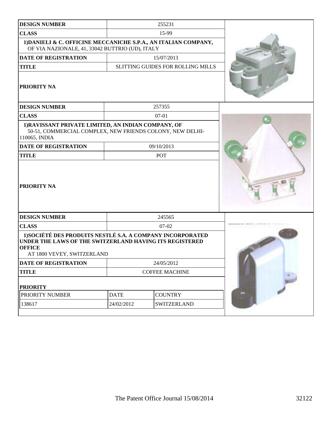| <b>DESIGN NUMBER</b>                                                                                                                                                 |             | 255231                            |  |  |  |  |  |
|----------------------------------------------------------------------------------------------------------------------------------------------------------------------|-------------|-----------------------------------|--|--|--|--|--|
| <b>CLASS</b>                                                                                                                                                         |             | 15-99                             |  |  |  |  |  |
| 1) DANIELI & C. OFFICINE MECCANICHE S.P.A., AN ITALIAN COMPANY,<br>OF VIA NAZIONALE, 41, 33042 BUTTRIO (UD), ITALY                                                   |             |                                   |  |  |  |  |  |
| <b>DATE OF REGISTRATION</b>                                                                                                                                          | 15/07/2013  |                                   |  |  |  |  |  |
| <b>TITLE</b>                                                                                                                                                         |             | SLITTING GUIDES FOR ROLLING MILLS |  |  |  |  |  |
| PRIORITY NA                                                                                                                                                          |             |                                   |  |  |  |  |  |
| <b>DESIGN NUMBER</b>                                                                                                                                                 |             | 257355                            |  |  |  |  |  |
| <b>CLASS</b>                                                                                                                                                         |             | $07 - 01$                         |  |  |  |  |  |
| 1) RAVISSANT PRIVATE LIMITED, AN INDIAN COMPANY, OF<br>50-51, COMMERCIAL COMPLEX, NEW FRIENDS COLONY, NEW DELHI-<br>110065, INDIA                                    |             |                                   |  |  |  |  |  |
| <b>DATE OF REGISTRATION</b>                                                                                                                                          |             | 09/10/2013                        |  |  |  |  |  |
| <b>TITLE</b>                                                                                                                                                         |             | POT                               |  |  |  |  |  |
| PRIORITY NA                                                                                                                                                          |             |                                   |  |  |  |  |  |
| <b>DESIGN NUMBER</b>                                                                                                                                                 |             | 245565                            |  |  |  |  |  |
| <b>CLASS</b>                                                                                                                                                         |             | 07-02                             |  |  |  |  |  |
| 1) SOCIÉTÉ DES PRODUITS NESTLÉ S.A. A COMPANY INCORPORATED<br>UNDER THE LAWS OF THE SWITZERLAND HAVING ITS REGISTERED<br><b>OFFICE</b><br>AT 1800 VEVEY, SWITZERLAND |             |                                   |  |  |  |  |  |
| <b>DATE OF REGISTRATION</b>                                                                                                                                          |             |                                   |  |  |  |  |  |
| <b>TITLE</b>                                                                                                                                                         |             |                                   |  |  |  |  |  |
| <b>PRIORITY</b>                                                                                                                                                      |             |                                   |  |  |  |  |  |
| PRIORITY NUMBER                                                                                                                                                      | <b>DATE</b> | <b>COUNTRY</b>                    |  |  |  |  |  |
| 138617                                                                                                                                                               | 24/02/2012  | <b>SWITZERLAND</b>                |  |  |  |  |  |
|                                                                                                                                                                      |             |                                   |  |  |  |  |  |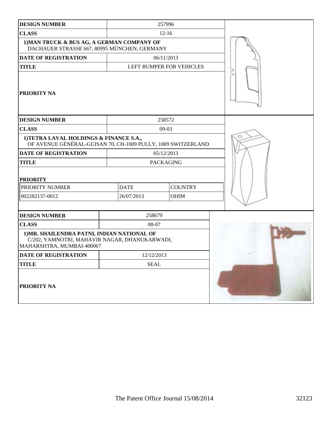| <b>DESIGN NUMBER</b>                                                                                                      |             | 257996                   |  |
|---------------------------------------------------------------------------------------------------------------------------|-------------|--------------------------|--|
| <b>CLASS</b>                                                                                                              |             | $12 - 16$                |  |
| 1) MAN TRUCK & BUS AG, A GERMAN COMPANY OF<br>DACHAUER STRASSE 667, 80995 MÜNCHEN, GERMANY                                |             |                          |  |
| <b>DATE OF REGISTRATION</b>                                                                                               |             | 06/11/2013               |  |
| <b>TITLE</b>                                                                                                              |             | LEFT BUMPER FOR VEHICLES |  |
| <b>PRIORITY NA</b>                                                                                                        |             |                          |  |
| <b>DESIGN NUMBER</b>                                                                                                      |             | 258572                   |  |
| <b>CLASS</b>                                                                                                              |             | $09-03$                  |  |
| 1) TETRA LAVAL HOLDINGS & FINANCE S.A.,<br>OF AVENUE GÉNÉRAL-GUISAN 70, CH-1009 PULLY, 1009 SWITZERLAND                   |             |                          |  |
| <b>DATE OF REGISTRATION</b>                                                                                               |             | 05/12/2013               |  |
| <b>TITLE</b>                                                                                                              |             | <b>PACKAGING</b>         |  |
| <b>PRIORITY</b>                                                                                                           |             |                          |  |
| PRIORITY NUMBER                                                                                                           | <b>DATE</b> | <b>COUNTRY</b>           |  |
| 002282137-0012                                                                                                            | 26/07/2013  | OHIM                     |  |
|                                                                                                                           |             |                          |  |
| <b>DESIGN NUMBER</b>                                                                                                      | 258679      |                          |  |
| <b>CLASS</b>                                                                                                              | 08-07       |                          |  |
| 1) MR. SHAILENDRA PATNI, INDIAN NATIONAL OF<br>C/202, YAMNOTRI, MAHAVIR NAGAR, DHANUKARWADI,<br>MAHARSHTRA, MUMBAI-400067 |             |                          |  |
| <b>DATE OF REGISTRATION</b>                                                                                               | 12/12/2013  |                          |  |
| <b>TITLE</b>                                                                                                              | <b>SEAL</b> |                          |  |
| PRIORITY NA                                                                                                               |             |                          |  |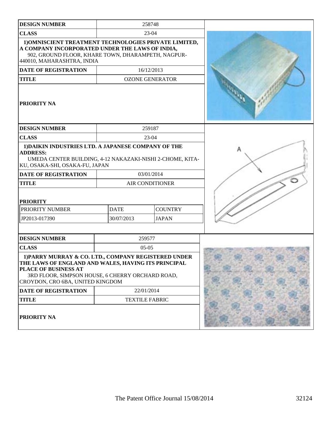| <b>DESIGN NUMBER</b>                                                                                                                                                                                                        |                        | 258748                 |  |
|-----------------------------------------------------------------------------------------------------------------------------------------------------------------------------------------------------------------------------|------------------------|------------------------|--|
| <b>CLASS</b>                                                                                                                                                                                                                | 23-04                  |                        |  |
| 1) OMNISCIENT TREATMENT TECHNOLOGIES PRIVATE LIMITED,<br>A COMPANY INCORPORATED UNDER THE LAWS OF INDIA,<br>902, GROUND FLOOR, KHARE TOWN, DHARAMPETH, NAGPUR-<br>440010, MAHARASHTRA, INDIA                                |                        |                        |  |
| <b>DATE OF REGISTRATION</b>                                                                                                                                                                                                 | 16/12/2013             |                        |  |
| <b>TITLE</b>                                                                                                                                                                                                                |                        | <b>OZONE GENERATOR</b> |  |
| PRIORITY NA                                                                                                                                                                                                                 |                        |                        |  |
| <b>DESIGN NUMBER</b>                                                                                                                                                                                                        |                        | 259187                 |  |
| <b>CLASS</b>                                                                                                                                                                                                                |                        | 23-04                  |  |
| 1) DAIKIN INDUSTRIES LTD. A JAPANESE COMPANY OF THE<br><b>ADDRESS:</b><br>UMEDA CENTER BUILDING, 4-12 NAKAZAKI-NISHI 2-CHOME, KITA-<br>KU, OSAKA-SHI, OSAKA-FU, JAPAN                                                       |                        |                        |  |
| <b>DATE OF REGISTRATION</b>                                                                                                                                                                                                 | 03/01/2014             |                        |  |
| <b>TITLE</b>                                                                                                                                                                                                                | <b>AIR CONDITIONER</b> |                        |  |
| <b>PRIORITY</b>                                                                                                                                                                                                             |                        |                        |  |
| PRIORITY NUMBER                                                                                                                                                                                                             | <b>DATE</b>            | <b>COUNTRY</b>         |  |
| JP2013-017390                                                                                                                                                                                                               | 30/07/2013             | <b>JAPAN</b>           |  |
|                                                                                                                                                                                                                             |                        |                        |  |
| <b>DESIGN NUMBER</b>                                                                                                                                                                                                        |                        | 259577                 |  |
| <b>CLASS</b>                                                                                                                                                                                                                |                        | $05-05$                |  |
| 1) PARRY MURRAY & CO. LTD., COMPANY REGISTERED UNDER<br>THE LAWS OF ENGLAND AND WALES, HAVING ITS PRINCIPAL<br>PLACE OF BUSINESS AT<br>3RD FLOOR, SIMPSON HOUSE, 6 CHERRY ORCHARD ROAD,<br>CROYDON, CRO 6BA, UNITED KINGDOM |                        |                        |  |
| DATE OF REGISTRATION                                                                                                                                                                                                        |                        | 22/01/2014             |  |
| <b>TITLE</b>                                                                                                                                                                                                                | <b>TEXTILE FABRIC</b>  |                        |  |
| PRIORITY NA                                                                                                                                                                                                                 |                        |                        |  |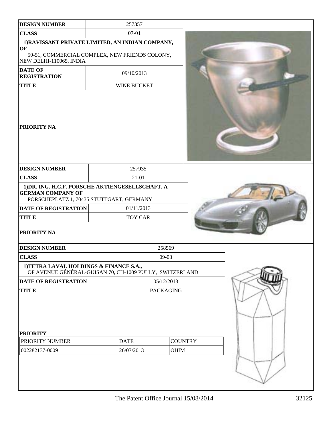| <b>DESIGN NUMBER</b>                                                                                                     |                           | 257357                 |         |  |  |
|--------------------------------------------------------------------------------------------------------------------------|---------------------------|------------------------|---------|--|--|
| <b>CLASS</b>                                                                                                             |                           | 07-01                  |         |  |  |
| 1) RAVISSANT PRIVATE LIMITED, AN INDIAN COMPANY,<br>OF<br>50-51, COMMERCIAL COMPLEX, NEW FRIENDS COLONY,                 |                           |                        |         |  |  |
| NEW DELHI-110065, INDIA<br><b>DATE OF</b>                                                                                |                           |                        |         |  |  |
| <b>REGISTRATION</b>                                                                                                      |                           | 09/10/2013             |         |  |  |
| <b>TITLE</b>                                                                                                             |                           | WINE BUCKET            |         |  |  |
| PRIORITY NA                                                                                                              |                           |                        |         |  |  |
| <b>DESIGN NUMBER</b>                                                                                                     |                           | 257935                 |         |  |  |
| <b>CLASS</b>                                                                                                             |                           | 21-01                  |         |  |  |
| 1) DR. ING. H.C.F. PORSCHE AKTIENGESELLSCHAFT, A<br><b>GERMAN COMPANY OF</b><br>PORSCHEPLATZ 1, 70435 STUTTGART, GERMANY |                           |                        |         |  |  |
| <b>DATE OF REGISTRATION</b>                                                                                              | 01/11/2013                |                        |         |  |  |
| <b>TITLE</b>                                                                                                             | <b>TOY CAR</b>            |                        |         |  |  |
| PRIORITY NA                                                                                                              |                           |                        |         |  |  |
| <b>DESIGN NUMBER</b>                                                                                                     |                           |                        | 258569  |  |  |
| <b>CLASS</b>                                                                                                             |                           |                        | $09-03$ |  |  |
| 1) TETRA LAVAL HOLDINGS & FINANCE S.A.,<br>OF AVENUE GÉNÉRAL-GUISAN 70, CH-1009 PULLY, SWITZERLAND                       |                           |                        |         |  |  |
| <b>DATE OF REGISTRATION</b>                                                                                              |                           | 05/12/2013             |         |  |  |
| <b>TITLE</b>                                                                                                             |                           | <b>PACKAGING</b>       |         |  |  |
| <b>PRIORITY</b><br>PRIORITY NUMBER<br>002282137-0009                                                                     | <b>DATE</b><br>26/07/2013 | <b>COUNTRY</b><br>OHIM |         |  |  |
|                                                                                                                          |                           |                        |         |  |  |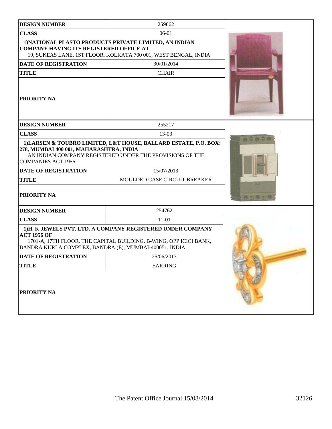| <b>DESIGN NUMBER</b>                                                                                                               | 259862                                                                                                                          |  |
|------------------------------------------------------------------------------------------------------------------------------------|---------------------------------------------------------------------------------------------------------------------------------|--|
| <b>CLASS</b>                                                                                                                       | 06-01                                                                                                                           |  |
| <b>COMPANY HAVING ITS REGISTERED OFFICE AT</b>                                                                                     | 1) NATIONAL PLASTO PRODUCTS PRIVATE LIMITED, AN INDIAN<br>19, SUKEAS LANE, 1ST FLOOR, KOLKATA 700 001, WEST BENGAL, INDIA       |  |
| <b>DATE OF REGISTRATION</b>                                                                                                        | 30/01/2014                                                                                                                      |  |
| <b>TITLE</b>                                                                                                                       | <b>CHAIR</b>                                                                                                                    |  |
| PRIORITY NA                                                                                                                        |                                                                                                                                 |  |
| <b>DESIGN NUMBER</b>                                                                                                               | 255217                                                                                                                          |  |
| <b>CLASS</b>                                                                                                                       | 13-03                                                                                                                           |  |
| 278, MUMBAI 400 001, MAHARASHTRA, INDIA<br><b>COMPANIES ACT 1956</b><br><b>DATE OF REGISTRATION</b><br><b>TITLE</b><br>PRIORITY NA | AN INDIAN COMPANY REGISTERED UNDER THE PROVISIONS OF THE<br>15/07/2013<br>MOULDED CASE CIRCUIT BREAKER                          |  |
| <b>DESIGN NUMBER</b>                                                                                                               | 254762                                                                                                                          |  |
| <b>CLASS</b>                                                                                                                       | $11-01$                                                                                                                         |  |
| <b>ACT 1956 OF</b><br>BANDRA KURLA COMPLEX, BANDRA (E), MUMBAI-400051, INDIA                                                       | 1)H. K JEWELS PVT. LTD. A COMPANY REGISTERED UNDER COMPANY<br>1701-A, 17TH FLOOR, THE CAPITAL BUILDING, B-WING, OPP ICICI BANK, |  |
| DATE OF REGISTRATION                                                                                                               | 25/06/2013                                                                                                                      |  |
| <b>TITLE</b>                                                                                                                       | <b>EARRING</b>                                                                                                                  |  |
| PRIORITY NA                                                                                                                        |                                                                                                                                 |  |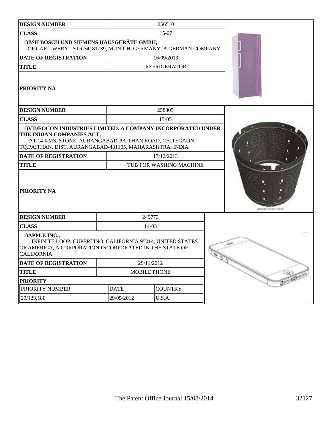| <b>DESIGN NUMBER</b>                                                                                                                                                                                                                         |             |                     | 256510                  |                 |
|----------------------------------------------------------------------------------------------------------------------------------------------------------------------------------------------------------------------------------------------|-------------|---------------------|-------------------------|-----------------|
| <b>CLASS</b>                                                                                                                                                                                                                                 |             | 15-07               |                         |                 |
| 1) BSH BOSCH UND SIEMENS HAUSGERÄTE GMBH,<br>OF CARL-WERY - STR.34, 81739, MUNICH, GERMANY, A GERMAN COMPANY                                                                                                                                 |             |                     |                         |                 |
| <b>DATE OF REGISTRATION</b>                                                                                                                                                                                                                  |             |                     | 16/09/2013              |                 |
| <b>TITLE</b>                                                                                                                                                                                                                                 |             |                     | <b>REFRIGERATOR</b>     |                 |
| PRIORITY NA                                                                                                                                                                                                                                  |             |                     |                         |                 |
| <b>DESIGN NUMBER</b>                                                                                                                                                                                                                         |             |                     | 258805                  |                 |
| <b>CLASS</b>                                                                                                                                                                                                                                 |             |                     | $15-05$                 |                 |
| 1) VIDEOCON INDUSTRIES LIMITED. A COMPANY INCORPORATED UNDER<br>THE INDIAN COMPANIES ACT,<br>AT 14 KMS. STONE, AURANGABAD-PAITHAN ROAD, CHITEGAON,<br>TQ.PAITHAN, DIST. AURANGABAD-431105, MAHARASHTRA, INDIA<br><b>DATE OF REGISTRATION</b> |             |                     | 17/12/2013              |                 |
| <b>TITLE</b>                                                                                                                                                                                                                                 |             |                     | TUB FOR WASHING MACHINE |                 |
| <b>PRIORITY NA</b>                                                                                                                                                                                                                           |             |                     |                         |                 |
| <b>DESIGN NUMBER</b>                                                                                                                                                                                                                         |             | 249773              |                         |                 |
| <b>CLASS</b>                                                                                                                                                                                                                                 |             | 14-03               |                         |                 |
| 1) APPLE INC.,<br>1 INFINITE LOOP, CUPERTINO, CALIFORNIA 95014, UNITED STATES<br>OF AMERICA, A CORPORATION INCORPORATED IN THE STATE OF<br><b>CALIFORNIA</b>                                                                                 |             |                     |                         |                 |
| DATE OF REGISTRATION                                                                                                                                                                                                                         |             | 29/11/2012          |                         | <b>Clarkett</b> |
| <b>TITLE</b>                                                                                                                                                                                                                                 |             | <b>MOBILE PHONE</b> |                         |                 |
| <b>PRIORITY</b>                                                                                                                                                                                                                              |             |                     |                         |                 |
| PRIORITY NUMBER                                                                                                                                                                                                                              | <b>DATE</b> |                     | <b>COUNTRY</b>          |                 |
| 29/423,180                                                                                                                                                                                                                                   | 29/05/2012  | U.S.A.              |                         |                 |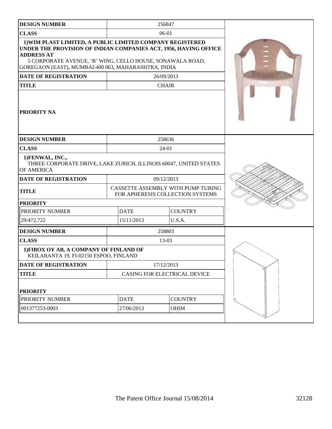| <b>DESIGN NUMBER</b><br>256847<br><b>CLASS</b><br>$06-01$<br>1) WIM PLAST LIMITED, A PUBLIC LIMITED COMPANY REGISTERED<br>UNDER THE PROVISION OF INDIAN COMPANIES ACT, 1956, HAVING OFFICE<br><b>ADDRESS AT</b><br>5 CORPORATE AVENUE, 'B' WING, CELLO HOUSE, SONAWALA ROAD,<br>GOREGAON (EAST), MUMBAI-400 063, MAHARASHTRA, INDIA<br><b>DATE OF REGISTRATION</b><br>26/09/2013<br><b>TITLE</b><br><b>CHAIR</b><br>PRIORITY NA<br><b>DESIGN NUMBER</b><br>258636<br><b>CLASS</b><br>$24 - 01$<br>1) FENWAL, INC.,<br>THREE CORPORATE DRIVE, LAKE ZURICH, ILLINOIS 60047, UNITED STATES<br>OF AMERICA<br>09/12/2013<br>DATE OF REGISTRATION<br>CASSETTE ASSEMBLY WITH PUMP TUBING<br><b>TITLE</b><br>FOR APHERESIS COLLECTION SYSTEMS<br><b>PRIORITY</b><br><b>DATE</b><br><b>COUNTRY</b><br>PRIORITY NUMBER<br>U.S.A.<br>29/472,722<br>15/11/2013<br>258803<br><b>DESIGN NUMBER</b><br><b>CLASS</b><br>13-03<br>1) FIBOX OY AB, A COMPANY OF FINLAND OF<br>KEILARANTA 19, FI-02150 ESPOO, FINLAND<br>DATE OF REGISTRATION<br>17/12/2013<br><b>TITLE</b><br>CASING FOR ELECTRICAL DEVICE<br><b>PRIORITY</b><br><b>DATE</b><br><b>COUNTRY</b><br>PRIORITY NUMBER<br>001377253-0003<br>27/06/2013<br><b>OHIM</b> |  |  |
|----------------------------------------------------------------------------------------------------------------------------------------------------------------------------------------------------------------------------------------------------------------------------------------------------------------------------------------------------------------------------------------------------------------------------------------------------------------------------------------------------------------------------------------------------------------------------------------------------------------------------------------------------------------------------------------------------------------------------------------------------------------------------------------------------------------------------------------------------------------------------------------------------------------------------------------------------------------------------------------------------------------------------------------------------------------------------------------------------------------------------------------------------------------------------------------------------------------|--|--|
|                                                                                                                                                                                                                                                                                                                                                                                                                                                                                                                                                                                                                                                                                                                                                                                                                                                                                                                                                                                                                                                                                                                                                                                                                |  |  |
|                                                                                                                                                                                                                                                                                                                                                                                                                                                                                                                                                                                                                                                                                                                                                                                                                                                                                                                                                                                                                                                                                                                                                                                                                |  |  |
|                                                                                                                                                                                                                                                                                                                                                                                                                                                                                                                                                                                                                                                                                                                                                                                                                                                                                                                                                                                                                                                                                                                                                                                                                |  |  |
|                                                                                                                                                                                                                                                                                                                                                                                                                                                                                                                                                                                                                                                                                                                                                                                                                                                                                                                                                                                                                                                                                                                                                                                                                |  |  |
|                                                                                                                                                                                                                                                                                                                                                                                                                                                                                                                                                                                                                                                                                                                                                                                                                                                                                                                                                                                                                                                                                                                                                                                                                |  |  |
|                                                                                                                                                                                                                                                                                                                                                                                                                                                                                                                                                                                                                                                                                                                                                                                                                                                                                                                                                                                                                                                                                                                                                                                                                |  |  |
|                                                                                                                                                                                                                                                                                                                                                                                                                                                                                                                                                                                                                                                                                                                                                                                                                                                                                                                                                                                                                                                                                                                                                                                                                |  |  |
|                                                                                                                                                                                                                                                                                                                                                                                                                                                                                                                                                                                                                                                                                                                                                                                                                                                                                                                                                                                                                                                                                                                                                                                                                |  |  |
|                                                                                                                                                                                                                                                                                                                                                                                                                                                                                                                                                                                                                                                                                                                                                                                                                                                                                                                                                                                                                                                                                                                                                                                                                |  |  |
|                                                                                                                                                                                                                                                                                                                                                                                                                                                                                                                                                                                                                                                                                                                                                                                                                                                                                                                                                                                                                                                                                                                                                                                                                |  |  |
|                                                                                                                                                                                                                                                                                                                                                                                                                                                                                                                                                                                                                                                                                                                                                                                                                                                                                                                                                                                                                                                                                                                                                                                                                |  |  |
|                                                                                                                                                                                                                                                                                                                                                                                                                                                                                                                                                                                                                                                                                                                                                                                                                                                                                                                                                                                                                                                                                                                                                                                                                |  |  |
|                                                                                                                                                                                                                                                                                                                                                                                                                                                                                                                                                                                                                                                                                                                                                                                                                                                                                                                                                                                                                                                                                                                                                                                                                |  |  |
|                                                                                                                                                                                                                                                                                                                                                                                                                                                                                                                                                                                                                                                                                                                                                                                                                                                                                                                                                                                                                                                                                                                                                                                                                |  |  |
|                                                                                                                                                                                                                                                                                                                                                                                                                                                                                                                                                                                                                                                                                                                                                                                                                                                                                                                                                                                                                                                                                                                                                                                                                |  |  |
|                                                                                                                                                                                                                                                                                                                                                                                                                                                                                                                                                                                                                                                                                                                                                                                                                                                                                                                                                                                                                                                                                                                                                                                                                |  |  |
|                                                                                                                                                                                                                                                                                                                                                                                                                                                                                                                                                                                                                                                                                                                                                                                                                                                                                                                                                                                                                                                                                                                                                                                                                |  |  |
|                                                                                                                                                                                                                                                                                                                                                                                                                                                                                                                                                                                                                                                                                                                                                                                                                                                                                                                                                                                                                                                                                                                                                                                                                |  |  |
|                                                                                                                                                                                                                                                                                                                                                                                                                                                                                                                                                                                                                                                                                                                                                                                                                                                                                                                                                                                                                                                                                                                                                                                                                |  |  |
|                                                                                                                                                                                                                                                                                                                                                                                                                                                                                                                                                                                                                                                                                                                                                                                                                                                                                                                                                                                                                                                                                                                                                                                                                |  |  |
|                                                                                                                                                                                                                                                                                                                                                                                                                                                                                                                                                                                                                                                                                                                                                                                                                                                                                                                                                                                                                                                                                                                                                                                                                |  |  |
|                                                                                                                                                                                                                                                                                                                                                                                                                                                                                                                                                                                                                                                                                                                                                                                                                                                                                                                                                                                                                                                                                                                                                                                                                |  |  |
|                                                                                                                                                                                                                                                                                                                                                                                                                                                                                                                                                                                                                                                                                                                                                                                                                                                                                                                                                                                                                                                                                                                                                                                                                |  |  |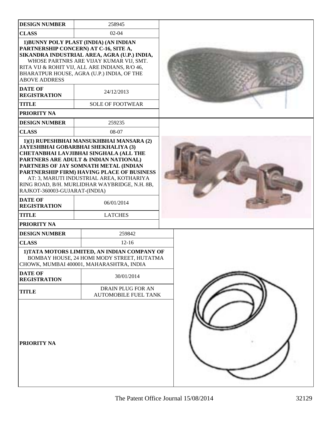| <b>DESIGN NUMBER</b>                                                                   | 258945                                                                                                                                                                                                                                                                                                                                                                                        |  |
|----------------------------------------------------------------------------------------|-----------------------------------------------------------------------------------------------------------------------------------------------------------------------------------------------------------------------------------------------------------------------------------------------------------------------------------------------------------------------------------------------|--|
| <b>CLASS</b>                                                                           | $02 - 04$                                                                                                                                                                                                                                                                                                                                                                                     |  |
| <b>ABOVE ADDRESS</b><br><b>DATE OF</b><br><b>REGISTRATION</b>                          | 1) BUNNY POLY PLAST (INDIA) (AN INDIAN<br>PARTNERSHIP CONCERN) AT C-16, SITE A,<br>SIKANDRA INDUSTRIAL AREA, AGRA (U.P.) INDIA,<br>WHOSE PARTNRS ARE VIJAY KUMAR VIJ, SMT.<br>RITA VIJ & ROHIT VIJ, ALL ARE INDIANS, R/O 46,<br>BHARATPUR HOUSE, AGRA (U.P.) INDIA, OF THE<br>24/12/2013                                                                                                      |  |
| <b>TITLE</b>                                                                           | <b>SOLE OF FOOTWEAR</b>                                                                                                                                                                                                                                                                                                                                                                       |  |
| PRIORITY NA                                                                            |                                                                                                                                                                                                                                                                                                                                                                                               |  |
| <b>DESIGN NUMBER</b>                                                                   | 259235                                                                                                                                                                                                                                                                                                                                                                                        |  |
| <b>CLASS</b>                                                                           | 08-07                                                                                                                                                                                                                                                                                                                                                                                         |  |
| RAJKOT-360003-GUJARAT-(INDIA)<br><b>DATE OF</b><br><b>REGISTRATION</b><br><b>TITLE</b> | 1)(1) RUPESHBHAI MANSUKHBHAI MANSARA (2)<br>JAYESHBHAI GOBARBHAI SHEKHALIYA (3)<br><b>CHETANBHAI LAVJIBHAI SINGHALA (ALL THE</b><br>PARTNERS ARE ADULT & INDIAN NATIONAL)<br>PARTNERS OF JAY SOMNATH METAL (INDIAN<br>PARTNERSHIP FIRM) HAVING PLACE OF BUSINESS<br>AT: 3, MARUTI INDUSTRIAL AREA, KOTHARIYA<br>RING ROAD, B/H. MURLIDHAR WAYBRIDGE, N.H. 8B,<br>06/01/2014<br><b>LATCHES</b> |  |
| PRIORITY NA                                                                            |                                                                                                                                                                                                                                                                                                                                                                                               |  |
| <b>DESIGN NUMBER</b>                                                                   | 259842                                                                                                                                                                                                                                                                                                                                                                                        |  |
| <b>CLASS</b>                                                                           | $12 - 16$                                                                                                                                                                                                                                                                                                                                                                                     |  |
| <b>DATE OF</b>                                                                         | 1) TATA MOTORS LIMITED, AN INDIAN COMPANY OF<br>BOMBAY HOUSE, 24 HOMI MODY STREET, HUTATMA<br>CHOWK, MUMBAI 400001, MAHARASHTRA, INDIA                                                                                                                                                                                                                                                        |  |
| <b>REGISTRATION</b>                                                                    | 30/01/2014                                                                                                                                                                                                                                                                                                                                                                                    |  |
| <b>TITLE</b>                                                                           | DRAIN PLUG FOR AN<br><b>AUTOMOBILE FUEL TANK</b>                                                                                                                                                                                                                                                                                                                                              |  |
| PRIORITY NA                                                                            |                                                                                                                                                                                                                                                                                                                                                                                               |  |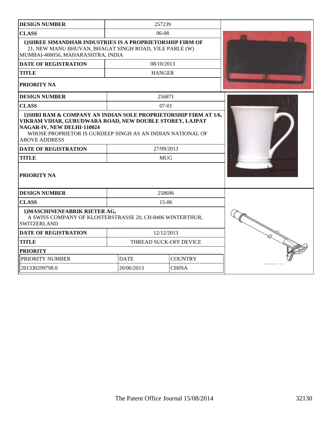| <b>DESIGN NUMBER</b>                                                                                                                                                                                       |             | 257239                 |  |
|------------------------------------------------------------------------------------------------------------------------------------------------------------------------------------------------------------|-------------|------------------------|--|
| <b>CLASS</b>                                                                                                                                                                                               |             | $06-08$                |  |
| 1) SHREE SIMANDHAR INDUSTRIES IS A PROPRIETORSHIP FIRM OF<br>21, NEW MANU BHUVAN, BHAGAT SINGH ROAD, VILE PARLE (W)<br>MUMBAI-400056, MAHARASHTRA, INDIA                                                   |             |                        |  |
| <b>DATE OF REGISTRATION</b>                                                                                                                                                                                |             | 08/10/2013             |  |
| <b>TITLE</b>                                                                                                                                                                                               |             | <b>HANGER</b>          |  |
| <b>PRIORITY NA</b>                                                                                                                                                                                         |             |                        |  |
| <b>DESIGN NUMBER</b>                                                                                                                                                                                       |             | 256871                 |  |
| <b>CLASS</b>                                                                                                                                                                                               |             | $07-01$                |  |
| VIKRAM VIHAR, GURUDWARA ROAD, NEW DOUBLE STOREY, LAJPAT<br>NAGAR-IV, NEW DELHI-110024<br>WHOSE PROPRIETOR IS GURDEEP SINGH AS AN INDIAN NATIONAL OF<br><b>ABOVE ADDRESS</b><br><b>DATE OF REGISTRATION</b> |             | 27/09/2013             |  |
| <b>TITLE</b>                                                                                                                                                                                               |             | <b>MUG</b>             |  |
|                                                                                                                                                                                                            |             |                        |  |
| <b>PRIORITY NA</b>                                                                                                                                                                                         |             |                        |  |
| <b>DESIGN NUMBER</b>                                                                                                                                                                                       |             | 258696                 |  |
| <b>CLASS</b>                                                                                                                                                                                               |             | $15-06$                |  |
| 1) MASCHINENFABRIK RIETER AG,<br>A SWISS COMPANY OF KLOSTERSTRASSE 20, CH-8406 WINTERTHUR,<br><b>SWITZERLAND</b>                                                                                           |             |                        |  |
| <b>DATE OF REGISTRATION</b>                                                                                                                                                                                |             | 12/12/2013             |  |
| <b>TITLE</b>                                                                                                                                                                                               |             | THREAD SUCK-OFF DEVICE |  |
| <b>PRIORITY</b>                                                                                                                                                                                            |             |                        |  |
| PRIORITY NUMBER                                                                                                                                                                                            | <b>DATE</b> | <b>COUNTRY</b>         |  |
| 201330299798.0                                                                                                                                                                                             | 20/06/2013  | <b>CHINA</b>           |  |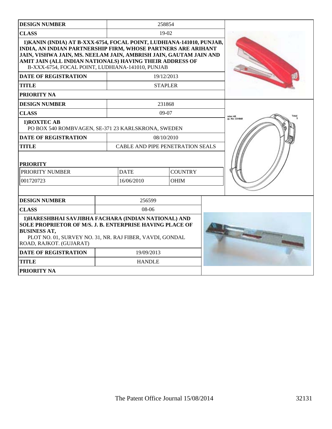| <b>DESIGN NUMBER</b>                                                                                                                                                                                                                                                                                                        |                                         | 258854         |  |  |
|-----------------------------------------------------------------------------------------------------------------------------------------------------------------------------------------------------------------------------------------------------------------------------------------------------------------------------|-----------------------------------------|----------------|--|--|
| <b>CLASS</b>                                                                                                                                                                                                                                                                                                                |                                         | 19-02          |  |  |
| 1) KANIN (INDIA) AT B-XXX-6754, FOCAL POINT, LUDHIANA-141010, PUNJAB,<br>INDIA, AN INDIAN PARTNERSHIP FIRM, WHOSE PARTNERS ARE ARIHANT<br>JAIN, VISHWA JAIN, MS. NEELAM JAIN, AMBRISH JAIN, GAUTAM JAIN AND<br>AMIT JAIN (ALL INDIAN NATIONALS) HAVING THEIR ADDRESS OF<br>B-XXX-6754, FOCAL POINT, LUDHIANA-141010, PUNJAB |                                         |                |  |  |
| <b>DATE OF REGISTRATION</b>                                                                                                                                                                                                                                                                                                 |                                         | 19/12/2013     |  |  |
| <b>TITLE</b>                                                                                                                                                                                                                                                                                                                |                                         | <b>STAPLER</b> |  |  |
| <b>PRIORITY NA</b>                                                                                                                                                                                                                                                                                                          |                                         |                |  |  |
| <b>DESIGN NUMBER</b>                                                                                                                                                                                                                                                                                                        |                                         | 231868         |  |  |
| <b>CLASS</b>                                                                                                                                                                                                                                                                                                                |                                         | 09-07          |  |  |
| 1) ROXTEC AB<br>PO BOX 540 ROMBVAGEN, SE-371 23 KARLSKRONA, SWEDEN                                                                                                                                                                                                                                                          |                                         |                |  |  |
| <b>DATE OF REGISTRATION</b>                                                                                                                                                                                                                                                                                                 | 08/10/2010                              |                |  |  |
| <b>TITLE</b>                                                                                                                                                                                                                                                                                                                | <b>CABLE AND PIPE PENETRATION SEALS</b> |                |  |  |
| <b>PRIORITY</b>                                                                                                                                                                                                                                                                                                             |                                         |                |  |  |
| PRIORITY NUMBER                                                                                                                                                                                                                                                                                                             | <b>DATE</b>                             | <b>COUNTRY</b> |  |  |
| 001720723                                                                                                                                                                                                                                                                                                                   | 16/06/2010                              | <b>OHIM</b>    |  |  |
|                                                                                                                                                                                                                                                                                                                             |                                         |                |  |  |
| <b>DESIGN NUMBER</b>                                                                                                                                                                                                                                                                                                        | 256599                                  |                |  |  |
| <b>CLASS</b>                                                                                                                                                                                                                                                                                                                | 08-06                                   |                |  |  |
| 1) HARESHBHAI SAVJIBHA FACHARA (INDIAN NATIONAL) AND<br>SOLE PROPRIETOR OF M/S. J. B. ENTERPRISE HAVING PLACE OF<br><b>BUSINESS AT,</b><br>PLOT NO. 01, SURVEY NO. 31, NR. RAJ FIBER, VAVDI, GONDAL<br>ROAD, RAJKOT. (GUJARAT)                                                                                              |                                         |                |  |  |
| <b>DATE OF REGISTRATION</b>                                                                                                                                                                                                                                                                                                 | 19/09/2013                              |                |  |  |
| <b>TITLE</b>                                                                                                                                                                                                                                                                                                                | <b>HANDLE</b>                           |                |  |  |
| <b>PRIORITY NA</b>                                                                                                                                                                                                                                                                                                          |                                         |                |  |  |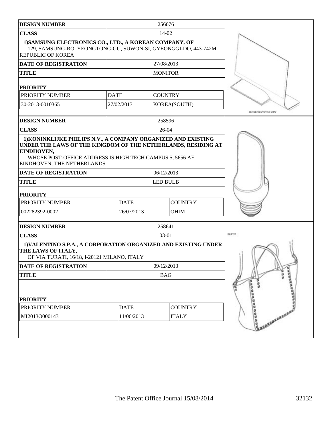| <b>DESIGN NUMBER</b>                                                                                                                                                                                                                    |             |       | 256076                 |                                         |
|-----------------------------------------------------------------------------------------------------------------------------------------------------------------------------------------------------------------------------------------|-------------|-------|------------------------|-----------------------------------------|
| <b>CLASS</b>                                                                                                                                                                                                                            |             | 14-02 |                        |                                         |
| 1) SAMSUNG ELECTRONICS CO., LTD., A KOREAN COMPANY, OF<br>129, SAMSUNG-RO, YEONGTONG-GU, SUWON-SI, GYEONGGI-DO, 443-742M<br><b>REPUBLIC OF KOREA</b>                                                                                    |             |       |                        |                                         |
| DATE OF REGISTRATION                                                                                                                                                                                                                    |             |       | 27/08/2013             |                                         |
| <b>TITLE</b>                                                                                                                                                                                                                            |             |       | <b>MONITOR</b>         |                                         |
| <b>PRIORITY</b>                                                                                                                                                                                                                         |             |       |                        |                                         |
| PRIORITY NUMBER                                                                                                                                                                                                                         | <b>DATE</b> |       | <b>COUNTRY</b>         |                                         |
| 30-2013-0010365                                                                                                                                                                                                                         | 27/02/2013  |       | KOREA(SOUTH)           | FRONT PERSPECTIVE VIEW                  |
| <b>DESIGN NUMBER</b>                                                                                                                                                                                                                    |             |       | 258596                 |                                         |
| <b>CLASS</b>                                                                                                                                                                                                                            |             |       | $26-04$                |                                         |
| UNDER THE LAWS OF THE KINGDOM OF THE NETHERLANDS, RESIDING AT<br>EINDHOVEN,<br>WHOSE POST-OFFICE ADDRESS IS HIGH TECH CAMPUS 5, 5656 AE<br>EINDHOVEN, THE NETHERLANDS<br><b>DATE OF REGISTRATION</b><br><b>TITLE</b><br><b>PRIORITY</b> |             |       | 06/12/2013<br>LED BULB |                                         |
| PRIORITY NUMBER                                                                                                                                                                                                                         | <b>DATE</b> |       | <b>COUNTRY</b>         |                                         |
| 002282392-0002                                                                                                                                                                                                                          | 26/07/2013  |       | OHIM                   |                                         |
| <b>DESIGN NUMBER</b>                                                                                                                                                                                                                    |             |       | 258641                 |                                         |
| <b>CLASS</b>                                                                                                                                                                                                                            |             |       | 03-01                  | 3.6%1                                   |
| 1) VALENTINO S.P.A., A CORPORATION ORGANIZED AND EXISTING UNDER<br>THE LAWS OF ITALY,<br>OF VIA TURATI, 16/18, I-20121 MILANO, ITALY                                                                                                    |             |       |                        |                                         |
| DATE OF REGISTRATION                                                                                                                                                                                                                    |             |       | 09/12/2013             |                                         |
| <b>TITLE</b>                                                                                                                                                                                                                            |             |       | <b>BAG</b>             |                                         |
| <b>PRIORITY</b>                                                                                                                                                                                                                         |             |       |                        | <b>BERBERREE</b><br><b>WEBSTERSHIPS</b> |
| PRIORITY NUMBER                                                                                                                                                                                                                         | <b>DATE</b> |       | <b>COUNTRY</b>         |                                         |
| MI2013O000143                                                                                                                                                                                                                           | 11/06/2013  |       | <b>ITALY</b>           | HARRAZZRRRR                             |
|                                                                                                                                                                                                                                         |             |       |                        |                                         |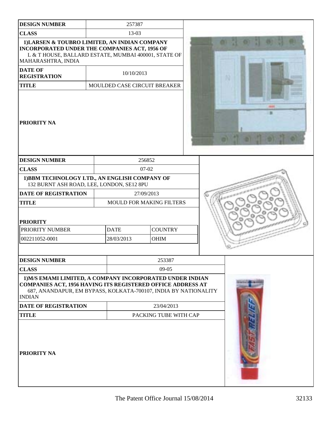| <b>DESIGN NUMBER</b>                                                                                                                                                                                         |                       | 257387      |                                 |  |  |
|--------------------------------------------------------------------------------------------------------------------------------------------------------------------------------------------------------------|-----------------------|-------------|---------------------------------|--|--|
| <b>CLASS</b>                                                                                                                                                                                                 |                       | 13-03       |                                 |  |  |
| 1) LARSEN & TOUBRO LIMITED, AN INDIAN COMPANY<br>INCORPORATED UNDER THE COMPANIES ACT, 1956 OF<br>L & T HOUSE, BALLARD ESTATE, MUMBAI 400001, STATE OF<br>MAHARASHTRA, INDIA                                 |                       |             |                                 |  |  |
| <b>DATE OF</b><br><b>REGISTRATION</b>                                                                                                                                                                        |                       | 10/10/2013  |                                 |  |  |
| <b>TITLE</b>                                                                                                                                                                                                 |                       |             | MOULDED CASE CIRCUIT BREAKER    |  |  |
| <b>PRIORITY NA</b>                                                                                                                                                                                           |                       |             |                                 |  |  |
| <b>DESIGN NUMBER</b>                                                                                                                                                                                         |                       |             | 256852                          |  |  |
| <b>CLASS</b>                                                                                                                                                                                                 |                       |             | $07-02$                         |  |  |
| 1) BBM TECHNOLOGY LTD., AN ENGLISH COMPANY OF<br>132 BURNT ASH ROAD, LEE, LONDON, SE12 8PU                                                                                                                   |                       |             |                                 |  |  |
| <b>DATE OF REGISTRATION</b>                                                                                                                                                                                  |                       |             | 27/09/2013                      |  |  |
| <b>TITLE</b>                                                                                                                                                                                                 |                       |             | <b>MOULD FOR MAKING FILTERS</b> |  |  |
| <b>PRIORITY</b><br>PRIORITY NUMBER                                                                                                                                                                           |                       | <b>DATE</b> | <b>COUNTRY</b>                  |  |  |
| 002211052-0001                                                                                                                                                                                               |                       | 28/03/2013  | <b>OHIM</b>                     |  |  |
| <b>DESIGN NUMBER</b>                                                                                                                                                                                         |                       |             | 253387                          |  |  |
| <b>CLASS</b>                                                                                                                                                                                                 |                       |             | $09-05$                         |  |  |
| 1) M/S EMAMI LIMITED, A COMPANY INCORPORATED UNDER INDIAN<br>COMPANIES ACT, 1956 HAVING ITS REGISTERED OFFICE ADDRESS AT<br>687, ANANDAPUR, EM BYPASS, KOLKATA-700107, INDIA BY NATIONALITY<br><b>INDIAN</b> |                       |             |                                 |  |  |
| <b>DATE OF REGISTRATION</b>                                                                                                                                                                                  |                       |             | 23/04/2013                      |  |  |
| <b>TITLE</b>                                                                                                                                                                                                 | PACKING TUBE WITH CAP |             |                                 |  |  |
| <b>PRIORITY NA</b>                                                                                                                                                                                           |                       |             |                                 |  |  |

エンチ・アンド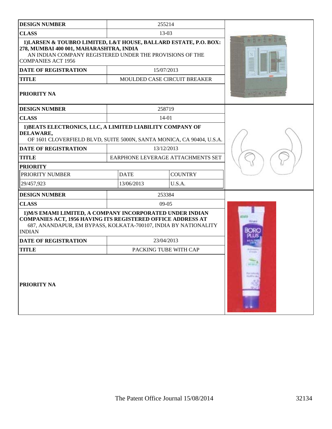| <b>DESIGN NUMBER</b>                                                                                                                                                                                                |             | 255214                            |                     |
|---------------------------------------------------------------------------------------------------------------------------------------------------------------------------------------------------------------------|-------------|-----------------------------------|---------------------|
| <b>CLASS</b>                                                                                                                                                                                                        |             | 13-03                             |                     |
| 1) LARSEN & TOUBRO LIMITED, L&T HOUSE, BALLARD ESTATE, P.O. BOX:<br>278, MUMBAI 400 001, MAHARASHTRA, INDIA<br>AN INDIAN COMPANY REGISTERED UNDER THE PROVISIONS OF THE<br><b>COMPANIES ACT 1956</b>                |             |                                   |                     |
| <b>DATE OF REGISTRATION</b>                                                                                                                                                                                         |             | 15/07/2013                        |                     |
| <b>TITLE</b>                                                                                                                                                                                                        |             | MOULDED CASE CIRCUIT BREAKER      |                     |
| <b>PRIORITY NA</b>                                                                                                                                                                                                  |             |                                   |                     |
| <b>DESIGN NUMBER</b>                                                                                                                                                                                                |             | 258719                            |                     |
| <b>CLASS</b>                                                                                                                                                                                                        |             | 14-01                             |                     |
| 1) BEATS ELECTRONICS, LLC, A LIMITED LIABILITY COMPANY OF<br>DELAWARE,<br>OF 1601 CLOVERFIELD BLVD, SUITE 5000N, SANTA MONICA, CA 90404, U.S.A.                                                                     |             |                                   |                     |
| <b>DATE OF REGISTRATION</b>                                                                                                                                                                                         |             | 13/12/2013                        |                     |
| <b>TITLE</b>                                                                                                                                                                                                        |             | EARPHONE LEVERAGE ATTACHMENTS SET |                     |
| <b>PRIORITY</b>                                                                                                                                                                                                     |             |                                   |                     |
| PRIORITY NUMBER                                                                                                                                                                                                     | <b>DATE</b> | <b>COUNTRY</b>                    |                     |
| 29/457,923                                                                                                                                                                                                          | 13/06/2013  | U.S.A.                            |                     |
| <b>DESIGN NUMBER</b>                                                                                                                                                                                                |             | 253384                            |                     |
| <b>CLASS</b>                                                                                                                                                                                                        |             | $09-05$                           |                     |
| 1) M/S EMAMI LIMITED, A COMPANY INCORPORATED UNDER INDIAN<br><b>COMPANIES ACT, 1956 HAVING ITS REGISTERED OFFICE ADDRESS AT</b><br>687, ANANDAPUR, EM BYPASS, KOLKATA-700107, INDIA BY NATIONALITY<br><b>INDIAN</b> |             |                                   | <b>The Contract</b> |
| <b>DATE OF REGISTRATION</b>                                                                                                                                                                                         |             | 23/04/2013                        |                     |
| <b>TITLE</b>                                                                                                                                                                                                        |             | PACKING TUBE WITH CAP             |                     |
| <b>PRIORITY NA</b>                                                                                                                                                                                                  |             |                                   |                     |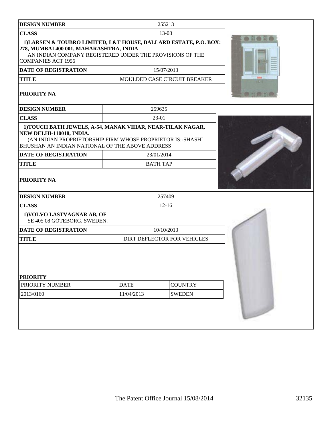| <b>DESIGN NUMBER</b>                                                                                                                                                                                    |             | 255213                              |  |
|---------------------------------------------------------------------------------------------------------------------------------------------------------------------------------------------------------|-------------|-------------------------------------|--|
| <b>CLASS</b>                                                                                                                                                                                            |             | 13-03                               |  |
| 1) LARSEN & TOUBRO LIMITED, L&T HOUSE, BALLARD ESTATE, P.O. BOX:<br>278, MUMBAI 400 001, MAHARASHTRA, INDIA<br>AN INDIAN COMPANY REGISTERED UNDER THE PROVISIONS OF THE<br><b>COMPANIES ACT 1956</b>    |             |                                     |  |
| <b>DATE OF REGISTRATION</b>                                                                                                                                                                             |             | 15/07/2013                          |  |
| <b>TITLE</b>                                                                                                                                                                                            |             | <b>MOULDED CASE CIRCUIT BREAKER</b> |  |
| PRIORITY NA                                                                                                                                                                                             |             |                                     |  |
| <b>DESIGN NUMBER</b>                                                                                                                                                                                    |             | 259635                              |  |
| <b>CLASS</b>                                                                                                                                                                                            |             | 23-01                               |  |
| 1) TOUCH BATH JEWELS, A-54, MANAK VIHAR, NEAR-TILAK NAGAR,<br>NEW DELHI-110018, INDIA.<br>(AN INDIAN PROPRIETORSHIP FIRM WHOSE PROPRIETOR IS:-SHASHI<br>BHUSHAN AN INDIAN NATIONAL OF THE ABOVE ADDRESS |             |                                     |  |
| <b>DATE OF REGISTRATION</b>                                                                                                                                                                             |             | 23/01/2014                          |  |
| <b>TITLE</b>                                                                                                                                                                                            |             | <b>BATH TAP</b>                     |  |
| PRIORITY NA                                                                                                                                                                                             |             |                                     |  |
| <b>DESIGN NUMBER</b>                                                                                                                                                                                    |             | 257409                              |  |
| <b>CLASS</b>                                                                                                                                                                                            | $12 - 16$   |                                     |  |
| 1) VOLVO LASTVAGNAR AB, OF<br>SE 405 08 GÖTEBORG, SWEDEN.                                                                                                                                               |             |                                     |  |
| <b>DATE OF REGISTRATION</b>                                                                                                                                                                             |             | 10/10/2013                          |  |
| <b>TITLE</b>                                                                                                                                                                                            |             | DIRT DEFLECTOR FOR VEHICLES         |  |
| <b>PRIORITY</b><br>PRIORITY NUMBER                                                                                                                                                                      | <b>DATE</b> | <b>COUNTRY</b>                      |  |
| 2013/0160                                                                                                                                                                                               | 11/04/2013  | <b>SWEDEN</b>                       |  |
|                                                                                                                                                                                                         |             |                                     |  |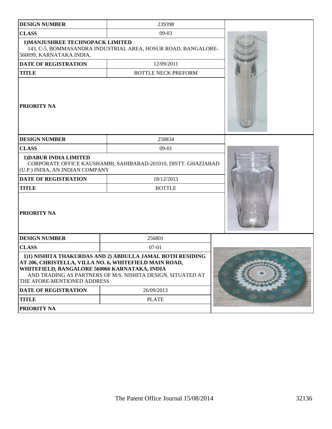| <b>DESIGN NUMBER</b>                                                         | 239398                                                                                                                                                                             |  |
|------------------------------------------------------------------------------|------------------------------------------------------------------------------------------------------------------------------------------------------------------------------------|--|
| <b>CLASS</b>                                                                 | $09-03$                                                                                                                                                                            |  |
| 1) MANJUSHREE TECHNOPACK LIMITED<br>560099, KARNATAKA INDIA,                 | 143, C-5, BOMMASANDRA INDUSTRIAL AREA, HOSUR ROAD, BANGALORE-                                                                                                                      |  |
| <b>DATE OF REGISTRATION</b>                                                  | 12/09/2011                                                                                                                                                                         |  |
| <b>TITLE</b>                                                                 | <b>BOTTLE NECK PREFORM</b>                                                                                                                                                         |  |
| PRIORITY NA                                                                  |                                                                                                                                                                                    |  |
| <b>DESIGN NUMBER</b>                                                         | 258834                                                                                                                                                                             |  |
| <b>CLASS</b>                                                                 | $09-01$                                                                                                                                                                            |  |
| 1) DABUR INDIA LIMITED<br>(U.P.) INDIA, AN INDIAN COMPANY                    | CORPORATE OFFICE KAUSHAMBI, SAHIBABAD-201010, DISTT. GHAZIABAD                                                                                                                     |  |
| <b>DATE OF REGISTRATION</b>                                                  | 18/12/2013                                                                                                                                                                         |  |
| <b>TITLE</b>                                                                 | <b>BOTTLE</b>                                                                                                                                                                      |  |
| PRIORITY NA                                                                  |                                                                                                                                                                                    |  |
| <b>DESIGN NUMBER</b>                                                         | 256801                                                                                                                                                                             |  |
| <b>CLASS</b>                                                                 | $07-01$                                                                                                                                                                            |  |
| WHITEFIELD, BANGALORE 560066 KARNATAKA, INDIA<br>THE AFORE-MENTIONED ADDRESS | 1)1) NISHITA THAKURDAS AND 2) ABDULLA JAMAL BOTH RESIDING<br>AT 206, CHRISTELLA, VILLA NO. 6, WHITEFIELD MAIN ROAD,<br>AND TRADING AS PARTNERS OF M/S. NISHITA DESIGN, SITUATED AT |  |
| <b>DATE OF REGISTRATION</b>                                                  | 26/09/2013                                                                                                                                                                         |  |
| <b>TITLE</b>                                                                 | <b>PLATE</b>                                                                                                                                                                       |  |
| PRIORITY NA                                                                  |                                                                                                                                                                                    |  |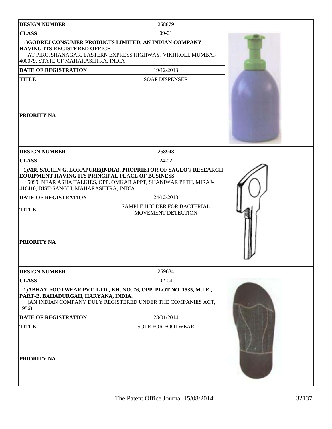| <b>DESIGN NUMBER</b>                                                                         | 258879                                                                                                                              |  |
|----------------------------------------------------------------------------------------------|-------------------------------------------------------------------------------------------------------------------------------------|--|
| <b>CLASS</b>                                                                                 | 09-01                                                                                                                               |  |
| <b>HAVING ITS REGISTERED OFFICE</b><br>400079, STATE OF MAHARASHTRA, INDIA                   | 1)GODREJ CONSUMER PRODUCTS LIMITED, AN INDIAN COMPANY<br>AT PIROJSHANAGAR, EASTERN EXPRESS HIGHWAY, VIKHROLI, MUMBAI-               |  |
| <b>DATE OF REGISTRATION</b>                                                                  | 19/12/2013                                                                                                                          |  |
| <b>TITLE</b>                                                                                 | <b>SOAP DISPENSER</b>                                                                                                               |  |
| PRIORITY NA                                                                                  |                                                                                                                                     |  |
| <b>DESIGN NUMBER</b>                                                                         | 258948                                                                                                                              |  |
| <b>CLASS</b>                                                                                 | 24-02                                                                                                                               |  |
| EQUIPMENT HAVING ITS PRINCIPAL PLACE OF BUSINESS<br>416410, DIST-SANGLI, MAHARASHTRA, INDIA. | 1) MR. SACHIN G. LOKAPURE(INDIA). PROPRIETOR OF SAGLO® RESEARCH<br>5099, NEAR ASHA TALKIES, OPP. OMKAR APPT, SHANIWAR PETH, MIRAJ-  |  |
| <b>DATE OF REGISTRATION</b>                                                                  | 24/12/2013                                                                                                                          |  |
| <b>TITLE</b>                                                                                 | SAMPLE HOLDER FOR BACTERIAL<br>MOVEMENT DETECTION                                                                                   |  |
| PRIORITY NA                                                                                  |                                                                                                                                     |  |
| <b>DESIGN NUMBER</b>                                                                         | 259634                                                                                                                              |  |
| <b>CLASS</b>                                                                                 | $02 - 04$                                                                                                                           |  |
| PART-B, BAHADURGAH, HARYANA, INDIA.<br>1956)                                                 | 1) ABHAY FOOTWEAR PVT. LTD., KH. NO. 76, OPP. PLOT NO. 1535, M.I.E.,<br>(AN INDIAN COMPANY DULY REGISTERED UNDER THE COMPANIES ACT, |  |
| <b>DATE OF REGISTRATION</b>                                                                  | 23/01/2014                                                                                                                          |  |
| <b>TITLE</b>                                                                                 | <b>SOLE FOR FOOTWEAR</b>                                                                                                            |  |
| <b>PRIORITY NA</b>                                                                           |                                                                                                                                     |  |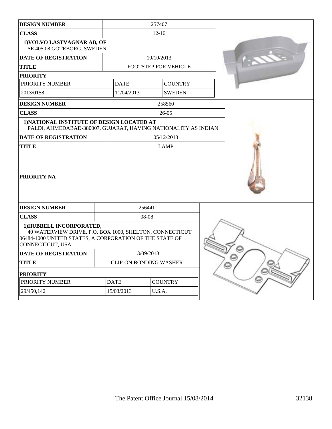| <b>CLASS</b><br>$12 - 16$<br>1) VOLVO LASTVAGNAR AB, OF<br>SE 405 08 GÖTEBORG, SWEDEN.<br><b>DATE OF REGISTRATION</b><br>10/10/2013<br><b>TITLE</b><br>FOOTSTEP FOR VEHICLE<br><b>PRIORITY</b><br>PRIORITY NUMBER<br><b>DATE</b><br><b>COUNTRY</b><br>2013/0158<br>11/04/2013<br><b>SWEDEN</b><br>258560<br><b>DESIGN NUMBER</b><br><b>CLASS</b><br>26-05<br>1) NATIONAL INSTITUTE OF DESIGN LOCATED AT<br>PALDI, AHMEDABAD-380007, GUJARAT, HAVING NATIONALITY AS INDIAN<br><b>DATE OF REGISTRATION</b><br>05/12/2013<br><b>TITLE</b><br><b>LAMP</b> |  |
|-------------------------------------------------------------------------------------------------------------------------------------------------------------------------------------------------------------------------------------------------------------------------------------------------------------------------------------------------------------------------------------------------------------------------------------------------------------------------------------------------------------------------------------------------------|--|
|                                                                                                                                                                                                                                                                                                                                                                                                                                                                                                                                                       |  |
|                                                                                                                                                                                                                                                                                                                                                                                                                                                                                                                                                       |  |
|                                                                                                                                                                                                                                                                                                                                                                                                                                                                                                                                                       |  |
|                                                                                                                                                                                                                                                                                                                                                                                                                                                                                                                                                       |  |
|                                                                                                                                                                                                                                                                                                                                                                                                                                                                                                                                                       |  |
|                                                                                                                                                                                                                                                                                                                                                                                                                                                                                                                                                       |  |
|                                                                                                                                                                                                                                                                                                                                                                                                                                                                                                                                                       |  |
|                                                                                                                                                                                                                                                                                                                                                                                                                                                                                                                                                       |  |
|                                                                                                                                                                                                                                                                                                                                                                                                                                                                                                                                                       |  |
|                                                                                                                                                                                                                                                                                                                                                                                                                                                                                                                                                       |  |
|                                                                                                                                                                                                                                                                                                                                                                                                                                                                                                                                                       |  |
|                                                                                                                                                                                                                                                                                                                                                                                                                                                                                                                                                       |  |
| <b>PRIORITY NA</b>                                                                                                                                                                                                                                                                                                                                                                                                                                                                                                                                    |  |
| 256441<br><b>DESIGN NUMBER</b>                                                                                                                                                                                                                                                                                                                                                                                                                                                                                                                        |  |
| <b>CLASS</b><br>08-08                                                                                                                                                                                                                                                                                                                                                                                                                                                                                                                                 |  |
| 1) HUBBELL INCORPORATED,<br>40 WATERVIEW DRIVE, P.O. BOX 1000, SHELTON, CONNECTICUT<br>06484-1000 UNITED STATES, A CORPORATION OF THE STATE OF<br>CONNECTICUT, USA                                                                                                                                                                                                                                                                                                                                                                                    |  |
| 13/09/2013<br><b>DATE OF REGISTRATION</b>                                                                                                                                                                                                                                                                                                                                                                                                                                                                                                             |  |
| <b>TITLE</b><br><b>CLIP-ON BONDING WASHER</b>                                                                                                                                                                                                                                                                                                                                                                                                                                                                                                         |  |
| <b>PRIORITY</b>                                                                                                                                                                                                                                                                                                                                                                                                                                                                                                                                       |  |
| PRIORITY NUMBER<br><b>DATE</b><br><b>COUNTRY</b>                                                                                                                                                                                                                                                                                                                                                                                                                                                                                                      |  |
| 15/03/2013<br>U.S.A.<br>29/450,142                                                                                                                                                                                                                                                                                                                                                                                                                                                                                                                    |  |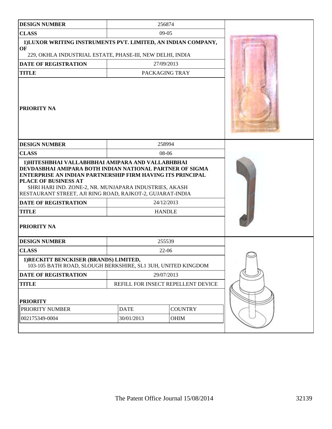| <b>DESIGN NUMBER</b>                                                                                                                                                                                                                                                  | 256874                             |               |  |
|-----------------------------------------------------------------------------------------------------------------------------------------------------------------------------------------------------------------------------------------------------------------------|------------------------------------|---------------|--|
| <b>CLASS</b>                                                                                                                                                                                                                                                          | $09-05$                            |               |  |
| 1) LUXOR WRITING INSTRUMENTS PVT. LIMITED, AN INDIAN COMPANY,<br>OF                                                                                                                                                                                                   |                                    |               |  |
| 229, OKHLA INDUSTRIAL ESTATE, PHASE-III, NEW DELHI, INDIA                                                                                                                                                                                                             |                                    |               |  |
| <b>DATE OF REGISTRATION</b>                                                                                                                                                                                                                                           | 27/09/2013                         |               |  |
| <b>TITLE</b><br>PACKAGING TRAY                                                                                                                                                                                                                                        |                                    |               |  |
| <b>PRIORITY NA</b>                                                                                                                                                                                                                                                    |                                    |               |  |
| <b>DESIGN NUMBER</b>                                                                                                                                                                                                                                                  |                                    | 258994        |  |
| <b>CLASS</b>                                                                                                                                                                                                                                                          |                                    | 08-06         |  |
| DEVDASBHAI AMIPARA BOTH INDIAN NATIONAL PARTNER OF SIGMA<br>ENTERPRISE AN INDIAN PARTNERSHIP FIRM HAVING ITS PRINCIPAL<br>PLACE OF BUSINESS AT<br>SHRI HARI IND. ZONE-2, NR. MUNJAPARA INDUSTRIES, AKASH<br>RESTAURANT STREET, AJI RING ROAD, RAJKOT-2, GUJARAT-INDIA |                                    |               |  |
| <b>DATE OF REGISTRATION</b>                                                                                                                                                                                                                                           |                                    | 24/12/2013    |  |
| <b>TITLE</b>                                                                                                                                                                                                                                                          |                                    | <b>HANDLE</b> |  |
| <b>PRIORITY NA</b>                                                                                                                                                                                                                                                    |                                    |               |  |
| <b>DESIGN NUMBER</b>                                                                                                                                                                                                                                                  | 255539                             |               |  |
| <b>CLASS</b>                                                                                                                                                                                                                                                          | $22-06$                            |               |  |
| 1) RECKITT BENCKISER (BRANDS) LIMITED,<br>103-105 BATH ROAD, SLOUGH BERKSHIRE, SL1 3UH, UNITED KINGDOM                                                                                                                                                                |                                    |               |  |
| DATE OF REGISTRATION                                                                                                                                                                                                                                                  |                                    | 29/07/2013    |  |
| <b>TITLE</b>                                                                                                                                                                                                                                                          | REFILL FOR INSECT REPELLENT DEVICE |               |  |
| <b>PRIORITY</b>                                                                                                                                                                                                                                                       |                                    |               |  |
| PRIORITY NUMBER                                                                                                                                                                                                                                                       | <b>COUNTRY</b><br><b>DATE</b>      |               |  |
| 002175349-0004                                                                                                                                                                                                                                                        | 30/01/2013<br>OHIM                 |               |  |
|                                                                                                                                                                                                                                                                       |                                    |               |  |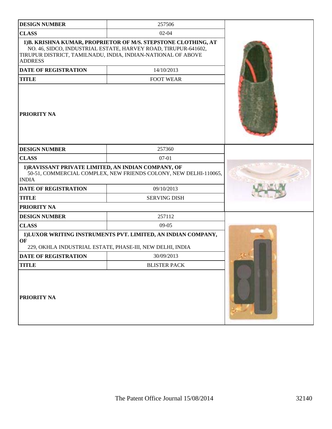| <b>DESIGN NUMBER</b>                                                                                                                    | 257506                                                                                                                                                                                           |  |  |
|-----------------------------------------------------------------------------------------------------------------------------------------|--------------------------------------------------------------------------------------------------------------------------------------------------------------------------------------------------|--|--|
| <b>CLASS</b>                                                                                                                            | $02 - 04$                                                                                                                                                                                        |  |  |
| <b>ADDRESS</b>                                                                                                                          | 1) B. KRISHNA KUMAR, PROPRIETOR OF M/S. STEPSTONE CLOTHING, AT<br>NO. 46, SIDCO, INDUSTRIAL ESTATE, HARVEY ROAD, TIRUPUR-641602,<br>TIRUPUR DISTRICT, TAMILNADU, INDIA, INDIAN-NATIONAL OF ABOVE |  |  |
| <b>DATE OF REGISTRATION</b>                                                                                                             | 14/10/2013                                                                                                                                                                                       |  |  |
| <b>TITLE</b>                                                                                                                            |                                                                                                                                                                                                  |  |  |
| <b>PRIORITY NA</b>                                                                                                                      |                                                                                                                                                                                                  |  |  |
| <b>DESIGN NUMBER</b>                                                                                                                    | 257360                                                                                                                                                                                           |  |  |
| <b>CLASS</b>                                                                                                                            | $07-01$                                                                                                                                                                                          |  |  |
| 1) RAVISSANT PRIVATE LIMITED, AN INDIAN COMPANY, OF<br>50-51, COMMERCIAL COMPLEX, NEW FRIENDS COLONY, NEW DELHI-110065,<br><b>INDIA</b> |                                                                                                                                                                                                  |  |  |
| <b>DATE OF REGISTRATION</b>                                                                                                             | 09/10/2013                                                                                                                                                                                       |  |  |
| <b>TITLE</b>                                                                                                                            | <b>SERVING DISH</b>                                                                                                                                                                              |  |  |
| PRIORITY NA                                                                                                                             |                                                                                                                                                                                                  |  |  |
| <b>DESIGN NUMBER</b>                                                                                                                    | 257112                                                                                                                                                                                           |  |  |
| <b>CLASS</b>                                                                                                                            | $09-05$                                                                                                                                                                                          |  |  |
| OF                                                                                                                                      | 1) LUXOR WRITING INSTRUMENTS PVT. LIMITED, AN INDIAN COMPANY,<br>229, OKHLA INDUSTRIAL ESTATE, PHASE-III, NEW DELHI, INDIA                                                                       |  |  |
| <b>DATE OF REGISTRATION</b>                                                                                                             | 30/09/2013                                                                                                                                                                                       |  |  |
| <b>TITLE</b>                                                                                                                            | <b>BLISTER PACK</b>                                                                                                                                                                              |  |  |
| PRIORITY NA                                                                                                                             |                                                                                                                                                                                                  |  |  |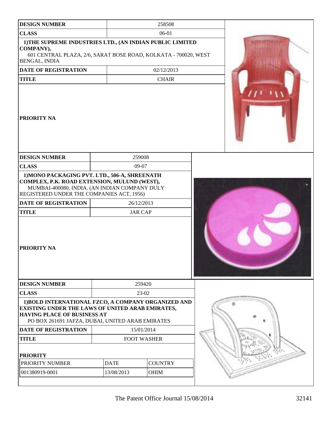| <b>DESIGN NUMBER</b>                                                                                                                                                                              | 258508                       |                |  |  |
|---------------------------------------------------------------------------------------------------------------------------------------------------------------------------------------------------|------------------------------|----------------|--|--|
| <b>CLASS</b>                                                                                                                                                                                      |                              | 06-01          |  |  |
| 1) THE SUPREME INDUSTRIES LTD., (AN INDIAN PUBLIC LIMITED<br>COMPANY),<br>601 CENTRAL PLAZA, 2/6, SARAT BOSE ROAD, KOLKATA - 700020, WEST<br><b>BENGAL, INDIA</b>                                 |                              |                |  |  |
| <b>DATE OF REGISTRATION</b>                                                                                                                                                                       |                              | 02/12/2013     |  |  |
| <b>TITLE</b>                                                                                                                                                                                      |                              | <b>CHAIR</b>   |  |  |
| <b>PRIORITY NA</b>                                                                                                                                                                                |                              |                |  |  |
| <b>DESIGN NUMBER</b>                                                                                                                                                                              | 259008                       |                |  |  |
| <b>CLASS</b>                                                                                                                                                                                      | 09-07                        |                |  |  |
| 1) MONO PACKAGING PVT. LTD., 506-A, SHREENATH<br>COMPLEX, P.K. ROAD EXTENSION, MULUND (WEST),<br>MUMBAI-400080, INDIA. (AN INDIAN COMPANY DULY<br>REGISTERED UNDER THE COMPANIES ACT, 1956)       |                              |                |  |  |
| DATE OF REGISTRATION<br><b>TITLE</b>                                                                                                                                                              | 26/12/2013<br><b>JAR CAP</b> |                |  |  |
| <b>PRIORITY NA</b>                                                                                                                                                                                |                              |                |  |  |
| <b>DESIGN NUMBER</b>                                                                                                                                                                              |                              | 259420         |  |  |
| <b>CLASS</b>                                                                                                                                                                                      | 23-02                        |                |  |  |
| 1) BOLD INTERNATIONAL FZCO, A COMPANY ORGANIZED AND<br>EXISTING UNDER THE LAWS OF UNITED ARAB EMIRATES,<br><b>HAVING PLACE OF BUSINESS AT</b><br>PO BOX 261691 JAFZA, DUBAI, UNITED ARAB EMIRATES |                              |                |  |  |
| <b>DATE OF REGISTRATION</b>                                                                                                                                                                       | 15/01/2014                   |                |  |  |
| <b>TITLE</b>                                                                                                                                                                                      | <b>FOOT WASHER</b>           |                |  |  |
| <b>PRIORITY</b>                                                                                                                                                                                   |                              |                |  |  |
| PRIORITY NUMBER                                                                                                                                                                                   | <b>DATE</b>                  | <b>COUNTRY</b> |  |  |
| 001380919-0001                                                                                                                                                                                    | 13/08/2013                   | OHIM           |  |  |
|                                                                                                                                                                                                   |                              |                |  |  |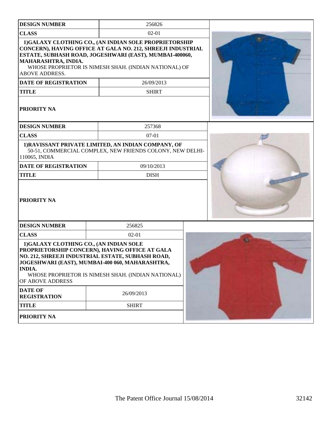| <b>DESIGN NUMBER</b>                                                        | 256826                                                                                                                                                                                                                                    |  |
|-----------------------------------------------------------------------------|-------------------------------------------------------------------------------------------------------------------------------------------------------------------------------------------------------------------------------------------|--|
| <b>CLASS</b>                                                                | $02 - 01$                                                                                                                                                                                                                                 |  |
| MAHARASHTRA, INDIA.<br><b>ABOVE ADDRESS.</b>                                | 1) GALAXY CLOTHING CO., (AN INDIAN SOLE PROPRIETORSHIP<br>CONCERN), HAVING OFFICE AT GALA NO. 212, SHREEJI INDUSTRIAL<br>ESTATE, SUBHASH ROAD, JOGESHWARI (EAST), MUMBAI-400060,<br>WHOSE PROPRIETOR IS NIMESH SHAH. (INDIAN NATIONAL) OF |  |
| <b>DATE OF REGISTRATION</b>                                                 | 26/09/2013                                                                                                                                                                                                                                |  |
| <b>TITLE</b>                                                                | <b>SHIRT</b>                                                                                                                                                                                                                              |  |
| PRIORITY NA                                                                 |                                                                                                                                                                                                                                           |  |
| <b>DESIGN NUMBER</b>                                                        | 257368                                                                                                                                                                                                                                    |  |
| <b>CLASS</b>                                                                | $07-01$                                                                                                                                                                                                                                   |  |
| 110065, INDIA                                                               | 1) RAVISSANT PRIVATE LIMITED, AN INDIAN COMPANY, OF<br>50-51, COMMERCIAL COMPLEX, NEW FRIENDS COLONY, NEW DELHI-                                                                                                                          |  |
| <b>DATE OF REGISTRATION</b>                                                 | 09/10/2013                                                                                                                                                                                                                                |  |
| <b>TITLE</b>                                                                | <b>DISH</b>                                                                                                                                                                                                                               |  |
| PRIORITY NA                                                                 |                                                                                                                                                                                                                                           |  |
| <b>DESIGN NUMBER</b>                                                        | 256825                                                                                                                                                                                                                                    |  |
| <b>CLASS</b>                                                                | $02 - 01$                                                                                                                                                                                                                                 |  |
| 1)GALAXY CLOTHING CO., (AN INDIAN SOLE<br><b>INDIA.</b><br>OF ABOVE ADDRESS | PROPRIETORSHIP CONCERN), HAVING OFFICE AT GALA<br>NO. 212, SHREEJI INDUSTRIAL ESTATE, SUBHASH ROAD,<br>JOGESHWARI (EAST), MUMBAI-400 060, MAHARASHTRA,<br>WHOSE PROPRIETOR IS NIMESH SHAH. (INDIAN NATIONAL)                              |  |
| <b>DATE OF</b><br><b>REGISTRATION</b>                                       | 26/09/2013                                                                                                                                                                                                                                |  |
| <b>TITLE</b>                                                                | <b>SHIRT</b>                                                                                                                                                                                                                              |  |
| PRIORITY NA                                                                 |                                                                                                                                                                                                                                           |  |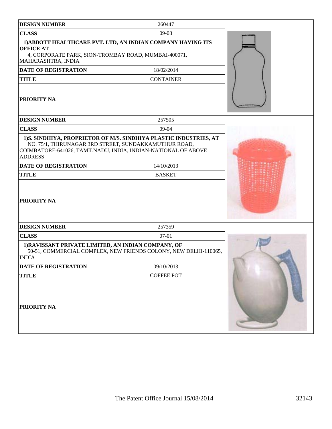| <b>DESIGN NUMBER</b>                                                                           | 260447                                                                                                                                                                                                                     |  |
|------------------------------------------------------------------------------------------------|----------------------------------------------------------------------------------------------------------------------------------------------------------------------------------------------------------------------------|--|
| <b>CLASS</b>                                                                                   | $09-03$                                                                                                                                                                                                                    |  |
| <b>OFFICE AT</b><br>4, CORPORATE PARK, SION-TROMBAY ROAD, MUMBAI-400071,<br>MAHARASHTRA, INDIA | 1) ABBOTT HEALTHCARE PVT. LTD, AN INDIAN COMPANY HAVING ITS                                                                                                                                                                |  |
| <b>DATE OF REGISTRATION</b>                                                                    | 18/02/2014                                                                                                                                                                                                                 |  |
| <b>TITLE</b>                                                                                   | <b>CONTAINER</b>                                                                                                                                                                                                           |  |
| <b>PRIORITY NA</b>                                                                             |                                                                                                                                                                                                                            |  |
| <b>DESIGN NUMBER</b>                                                                           | 257505                                                                                                                                                                                                                     |  |
| <b>CLASS</b>                                                                                   | 09-04                                                                                                                                                                                                                      |  |
| <b>ADDRESS</b><br><b>DATE OF REGISTRATION</b><br><b>TITLE</b><br><b>PRIORITY NA</b>            | 1)S. SINDHIYA, PROPRIETOR OF M/S. SINDHIYA PLASTIC INDUSTRIES, AT<br>NO. 75/1, THIRUNAGAR 3RD STREET, SUNDAKKAMUTHUR ROAD,<br>COIMBATORE-641026, TAMILNADU, INDIA, INDIAN-NATIONAL OF ABOVE<br>14/10/2013<br><b>BASKET</b> |  |
| <b>DESIGN NUMBER</b>                                                                           | 257359                                                                                                                                                                                                                     |  |
| <b>CLASS</b>                                                                                   | $07-01$                                                                                                                                                                                                                    |  |
| 1) RAVISSANT PRIVATE LIMITED, AN INDIAN COMPANY, OF<br><b>INDIA</b>                            | 50-51, COMMERCIAL COMPLEX, NEW FRIENDS COLONY, NEW DELHI-110065,                                                                                                                                                           |  |
| <b>DATE OF REGISTRATION</b>                                                                    | 09/10/2013                                                                                                                                                                                                                 |  |
| <b>TITLE</b>                                                                                   | <b>COFFEE POT</b>                                                                                                                                                                                                          |  |
| PRIORITY NA                                                                                    |                                                                                                                                                                                                                            |  |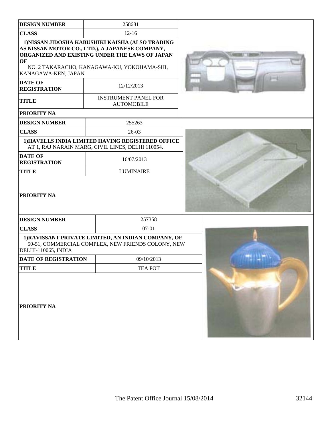| <b>DESIGN NUMBER</b>                  | 258681                                                                                                                                                                                               |  |
|---------------------------------------|------------------------------------------------------------------------------------------------------------------------------------------------------------------------------------------------------|--|
| <b>CLASS</b>                          | $12 - 16$                                                                                                                                                                                            |  |
| OF<br>KANAGAWA-KEN, JAPAN             | 1) NISSAN JIDOSHA KABUSHIKI KAISHA (ALSO TRADING<br>AS NISSAN MOTOR CO., LTD.), A JAPANESE COMPANY,<br>ORGANIZED AND EXISTING UNDER THE LAWS OF JAPAN<br>NO. 2 TAKARACHO, KANAGAWA-KU, YOKOHAMA-SHI, |  |
| <b>DATE OF</b><br><b>REGISTRATION</b> | 12/12/2013                                                                                                                                                                                           |  |
| <b>TITLE</b>                          | <b>INSTRUMENT PANEL FOR</b><br><b>AUTOMOBILE</b>                                                                                                                                                     |  |
| <b>PRIORITY NA</b>                    |                                                                                                                                                                                                      |  |
| <b>DESIGN NUMBER</b>                  | 255263                                                                                                                                                                                               |  |
| <b>CLASS</b>                          | $26-03$                                                                                                                                                                                              |  |
|                                       | 1) HAVELLS INDIA LIMITED HAVING REGISTERED OFFICE<br>AT 1, RAJ NARAIN MARG, CIVIL LINES, DELHI 110054.                                                                                               |  |
| <b>DATE OF</b><br><b>REGISTRATION</b> | 16/07/2013                                                                                                                                                                                           |  |
| <b>TITLE</b>                          | <b>LUMINAIRE</b>                                                                                                                                                                                     |  |
| <b>PRIORITY NA</b>                    |                                                                                                                                                                                                      |  |
| <b>DESIGN NUMBER</b>                  | 257358                                                                                                                                                                                               |  |
| <b>CLASS</b>                          | $07-01$                                                                                                                                                                                              |  |
| DELHI-110065, INDIA                   | 1) RAVISSANT PRIVATE LIMITED, AN INDIAN COMPANY, OF<br>50-51, COMMERCIAL COMPLEX, NEW FRIENDS COLONY, NEW                                                                                            |  |
| <b>DATE OF REGISTRATION</b>           | 09/10/2013                                                                                                                                                                                           |  |
| <b>TITLE</b>                          | <b>TEA POT</b>                                                                                                                                                                                       |  |
| <b>PRIORITY NA</b>                    |                                                                                                                                                                                                      |  |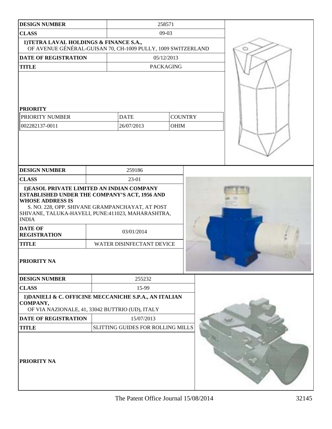| <b>DESIGN NUMBER</b>                                                                                                                                                                                                                                                                                                                 | 258571                                  |             |  |  |   |
|--------------------------------------------------------------------------------------------------------------------------------------------------------------------------------------------------------------------------------------------------------------------------------------------------------------------------------------|-----------------------------------------|-------------|--|--|---|
| <b>CLASS</b>                                                                                                                                                                                                                                                                                                                         | $09-03$                                 |             |  |  |   |
| 1) TETRA LAVAL HOLDINGS & FINANCE S.A.,<br>OF AVENUE GÉNÉRAL-GUISAN 70, CH-1009 PULLY, 1009 SWITZERLAND                                                                                                                                                                                                                              |                                         |             |  |  | o |
| <b>DATE OF REGISTRATION</b>                                                                                                                                                                                                                                                                                                          | 05/12/2013                              |             |  |  |   |
| <b>TITLE</b>                                                                                                                                                                                                                                                                                                                         | <b>PACKAGING</b>                        |             |  |  |   |
| <b>PRIORITY</b>                                                                                                                                                                                                                                                                                                                      |                                         |             |  |  |   |
| PRIORITY NUMBER                                                                                                                                                                                                                                                                                                                      | <b>DATE</b><br><b>COUNTRY</b>           |             |  |  |   |
| 002282137-0011                                                                                                                                                                                                                                                                                                                       | 26/07/2013                              | <b>OHIM</b> |  |  |   |
|                                                                                                                                                                                                                                                                                                                                      |                                         |             |  |  |   |
| <b>DESIGN NUMBER</b><br><b>CLASS</b>                                                                                                                                                                                                                                                                                                 | 259186<br>23-01                         |             |  |  |   |
| 1) EASOL PRIVATE LIMITED AN INDIAN COMPANY<br><b>ESTABLISHED UNDER THE COMPANY'S ACT, 1956 AND</b><br><b>WHOSE ADDRESS IS</b><br>S. NO. 228, OPP. SHIVANE GRAMPANCHAYAT, AT POST<br>SHIVANE, TALUKA-HAVELI, PUNE:411023, MAHARASHTRA,<br><b>INDIA</b><br><b>DATE OF</b><br><b>REGISTRATION</b><br><b>TITLE</b><br><b>PRIORITY NA</b> | 03/01/2014<br>WATER DISINFECTANT DEVICE |             |  |  |   |
| <b>DESIGN NUMBER</b>                                                                                                                                                                                                                                                                                                                 | 255232                                  |             |  |  |   |
| <b>CLASS</b>                                                                                                                                                                                                                                                                                                                         | 15-99                                   |             |  |  |   |
| 1) DANIELI & C. OFFICINE MECCANICHE S.P.A., AN ITALIAN<br>COMPANY,<br>OF VIA NAZIONALE, 41, 33042 BUTTRIO (UD), ITALY                                                                                                                                                                                                                |                                         |             |  |  |   |
| <b>DATE OF REGISTRATION</b>                                                                                                                                                                                                                                                                                                          | 15/07/2013                              |             |  |  |   |
| <b>TITLE</b>                                                                                                                                                                                                                                                                                                                         | SLITTING GUIDES FOR ROLLING MILLS       |             |  |  |   |
| <b>PRIORITY NA</b>                                                                                                                                                                                                                                                                                                                   |                                         |             |  |  |   |